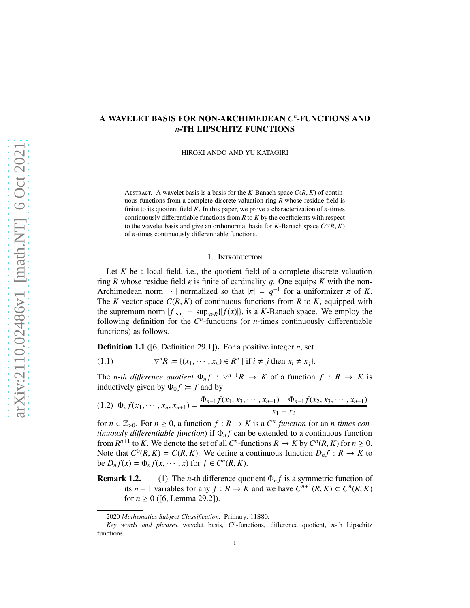# A WAVELET BASIS FOR NON-ARCHIMEDEAN *C n* -FUNCTIONS AND *n*-TH LIPSCHITZ FUNCTIONS

HIROKI ANDO AND YU KATAGIRI

ABSTRACT. A wavelet basis is a basis for the *K*-Banach space  $C(R, K)$  of continuous functions from a complete discrete valuation ring *R* whose residue field is finite to its quotient field *K*. In this paper, we prove a characterization of *n*-times continuously differentiable functions from *R* to *K* by the coefficients with respect to the wavelet basis and give an orthonormal basis for  $K$ -Banach space  $C^n(R, K)$ of *n*-times continuously differentiable functions.

#### 1. Introduction

Let *K* be a local field, i.e., the quotient field of a complete discrete valuation ring *R* whose residue field  $\kappa$  is finite of cardinality *q*. One equips *K* with the non-Archimedean norm | · | normalized so that  $|\pi| = q^{-1}$  for a uniformizer  $\pi$  of *K*. The *K*-vector space  $C(R, K)$  of continuous functions from *R* to *K*, equipped with the supremum norm  $|f|_{\text{sup}} = \sup_{x \in R} \{ |f(x)| \}$ , is a *K*-Banach space. We employ the following definition for the  $C<sup>n</sup>$ -functions (or *n*-times continuously differentiable functions) as follows.

Definition 1.1 ([6, Definition 29.1]). For a positive integer *n*, set

$$
(1.1) \t\t \t\t \t\t \t\t \t\t \nabla^n R := \{(x_1, \cdots, x_n) \in R^n \mid \text{if } i \neq j \text{ then } x_i \neq x_j\}.
$$

The *n*-th difference quotient  $\Phi_n f : \nabla^{n+1} R \to K$  of a function  $f : R \to K$  is inductively given by  $\Phi_0 f \coloneqq f$  and by

$$
(1.2) \Phi_n f(x_1, \cdots, x_n, x_{n+1}) = \frac{\Phi_{n-1} f(x_1, x_3, \cdots, x_{n+1}) - \Phi_{n-1} f(x_2, x_3, \cdots, x_{n+1})}{x_1 - x_2}
$$

for  $n \in \mathbb{Z}_{>0}$ . For  $n \ge 0$ , a function  $f : R \to K$  is a  $C<sup>n</sup>$ -function (or an *n*-times con*tinuously differentiable function*) if  $\Phi_n f$  can be extended to a continuous function from  $R^{n+1}$  to *K*. We denote the set of all  $C^n$ -functions  $R \to K$  by  $C^n(R, K)$  for  $n \ge 0$ . Note that  $C^0(R, K) = C(R, K)$ . We define a continuous function  $D_n f : R \to K$  to be  $D_n f(x) = \Phi_n f(x, \dots, x)$  for  $f \in C^n(R, K)$ .

**Remark 1.2.** (1) The *n*-th difference quotient  $\Phi_n f$  is a symmetric function of its *n* + 1 variables for any  $f : R \to K$  and we have  $C^{n+1}(R, K) \subset C^n(R, K)$ for  $n \ge 0$  ([6, Lemma 29.2]).

<sup>2020</sup> *Mathematics Subject Classification.* Primary: 11S80.

*Key words and phrases.* wavelet basis, *C n* -functions, difference quotient, *n*-th Lipschitz functions.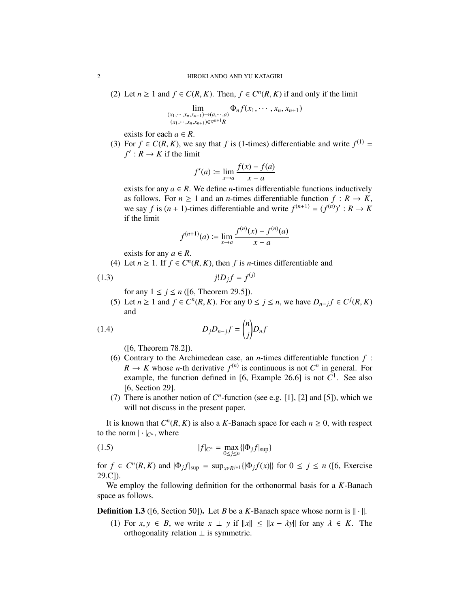(2) Let *n* ≥ 1 and *f* ∈ *C*(*R*, *K*). Then, *f* ∈ *C*<sup>*n*</sup>(*R*, *K*) if and only if the limit

$$
\lim_{\substack{(x_1,\dots,x_n,x_{n+1})\to(a,\dots,a)\\(x_1,\dots,x_n,x_{n+1})\in\mathbb{V}^{n+1}R}} \Phi_n f(x_1,\dots,x_n,x_{n+1})
$$

exists for each  $a \in R$ .

(3) For  $f \in C(R, K)$ , we say that *f* is (1-times) differentiable and write  $f^{(1)} =$  $f'$ :  $R \to K$  if the limit

$$
f'(a) := \lim_{x \to a} \frac{f(x) - f(a)}{x - a}
$$

exists for any  $a \in R$ . We define *n*-times differentiable functions inductively as follows. For  $n \geq 1$  and an *n*-times differentiable function  $f: R \to K$ , we say *f* is  $(n + 1)$ -times differentiable and write  $f^{(n+1)} = (f^{(n)})' : R \to K$ if the limit

$$
f^{(n+1)}(a) := \lim_{x \to a} \frac{f^{(n)}(x) - f^{(n)}(a)}{x - a}
$$

exists for any  $a \in R$ .

(4) Let  $n \ge 1$ . If  $f \in C^n(R, K)$ , then  $f$  is *n*-times differentiable and

$$
(1.3) \t\t j!D_jf = f^{(j)}
$$

- for any  $1 \le j \le n$  ([6, Theorem 29.5]).
- (5) Let  $n \ge 1$  and  $f \in C^n(R, K)$ . For any  $0 \le j \le n$ , we have  $D_{n-j} f \in C^j(R, K)$ and

$$
(1.4) \t\t D_j D_{n-j} f = {n \choose j} D_n f
$$

([6, Theorem 78.2]).

- (6) Contrary to the Archimedean case, an *n*-times differentiable function *f* :  $R \to K$  whose *n*-th derivative  $f^{(n)}$  is continuous is not  $C^n$  in general. For example, the function defined in [6, Example 26.6] is not  $C^1$ . See also [6, Section 29].
- (7) There is another notion of  $C<sup>n</sup>$ -function (see e.g. [1], [2] and [5]), which we will not discuss in the present paper.

It is known that  $C^n(R, K)$  is also a *K*-Banach space for each  $n \geq 0$ , with respect to the norm  $|\cdot|_{C^n}$ , where

(1.5) 
$$
|f|_{C^n} = \max_{0 \le j \le n} \{ |\Phi_j f|_{\sup} \}
$$

for  $f \in C^n(R, K)$  and  $|\Phi_j f|_{\sup} = \sup_{x \in R^{j+1}}{|\Phi_j f(x)|}$  for  $0 \le j \le n$  ([6, Exercise 29.C]).

We employ the following definition for the orthonormal basis for a *K*-Banach space as follows.

**Definition 1.3** ([6, Section 50]). Let *B* be a *K*-Banach space whose norm is  $|| \cdot ||$ .

(1) For  $x, y \in B$ , we write  $x \perp y$  if  $||x|| \le ||x - \lambda y||$  for any  $\lambda \in K$ . The orthogonality relation  $\perp$  is symmetric.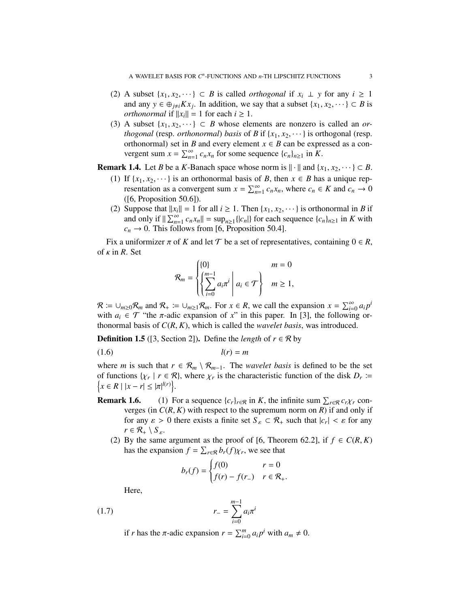- (2) A subset  $\{x_1, x_2, \dots\} \subset B$  is called *orthogonal* if  $x_i \perp y$  for any  $i \ge 1$ and any  $y \in \bigoplus_{j \neq i} Kx_j$ . In addition, we say that a subset  $\{x_1, x_2, \dots \} \subset B$  is *orthonormal* if  $||x_i|| = 1$  for each  $i \ge 1$ .
- (3) A subset  $\{x_1, x_2, \dots\} \subset B$  whose elements are nonzero is called an *orthogonal* (resp. *orthonormal*) *basis* of *B* if  $\{x_1, x_2, \dots\}$  is orthogonal (resp. orthonormal) set in *B* and every element  $x \in B$  can be expressed as a convergent sum  $x = \sum_{n=1}^{\infty} c_n x_n$  for some sequence  $\{c_n\}_{n \geq 1}$  in  $\tilde{K}$ .

**Remark 1.4.** Let *B* be a *K*-Banach space whose norm is  $\|\cdot\|$  and  $\{x_1, x_2, \dots\} \subset B$ .

- (1) If  $\{x_1, x_2, \dots\}$  is an orthonormal basis of *B*, then  $x \in B$  has a unique representation as a convergent sum  $x = \sum_{n=1}^{\infty} c_n x_n$ , where  $c_n \in K$  and  $c_n \to 0$ ([6, Proposition 50.6]).
- (2) Suppose that  $||x_i|| = 1$  for all  $i \ge 1$ . Then  $\{x_1, x_2, \dots\}$  is orthonormal in *B* if and only if  $\|\sum_{n=1}^{\infty} c_n x_n\| = \sup_{n\geq 1} \{|c_n|\}$  for each sequence  $\{c_n\}_{n\geq 1}$  in *K* with  $c_n \rightarrow 0$ . This follows from [6, Proposition 50.4].

Fix a uniformizer  $\pi$  of K and let  $\mathcal T$  be a set of representatives, containing  $0 \in \mathbb R$ , of  $\kappa$  in  $\mathbb{R}$ . Set

$$
\mathcal{R}_m = \begin{cases} \{0\} & m = 0 \\ \left\{ \sum_{i=0}^{m-1} a_i \pi^i \mid a_i \in \mathcal{T} \right\} & m \ge 1, \end{cases}
$$

 $\mathcal{R} \coloneqq \bigcup_{m \geq 0} \mathcal{R}_m$  and  $\mathcal{R}_+ \coloneqq \bigcup_{m \geq 1} \mathcal{R}_m$ . For  $x \in \mathcal{R}$ , we call the expansion  $x = \sum_{i=0}^{\infty} a_i p^i$ with  $a_i \in \mathcal{T}$  "the  $\pi$ -adic expansion of x" in this paper. In [3], the following orthonormal basis of *C*(*R*, *K*), which is called the *wavelet basis*, was introduced.

**Definition 1.5** ([3, Section 2]). Define the *length* of  $r \in \mathcal{R}$  by

$$
l(r) = m
$$

where *m* is such that  $r \in \mathcal{R}_m \setminus \mathcal{R}_{m-1}$ . The *wavelet basis* is defined to be the set of functions  $\{\chi_r \mid r \in \mathcal{R}\}$ , where  $\chi_r$  is the characteristic function of the disk  $D_r := \{\chi \in R \mid |x - r| < |\pi|^{l(r)}\}$ .  $x \in R \mid |x - r| \leq |\pi|^{l(r)}$ .

- **Remark 1.6.** (1) For a sequence  $\{c_r\}_{r \in \mathcal{R}}$  in *K*, the infinite sum  $\sum_{r \in \mathcal{R}} c_r \chi_r$  converges (in  $C(R, K)$  with respect to the supremum norm on  $R$ ) if and only if for any  $\varepsilon > 0$  there exists a finite set  $S_{\varepsilon} \subset \mathcal{R}_+$  such that  $|c_r| < \varepsilon$  for any  $r \in \mathcal{R}_+ \setminus S_{\varepsilon}$ .
	- (2) By the same argument as the proof of [6, Theorem 62.2], if  $f \in C(R, K)$ has the expansion  $f = \sum_{r \in \mathcal{R}} b_r(f) \chi_r$ , we see that

$$
b_r(f) = \begin{cases} f(0) & r = 0\\ f(r) - f(r_{-}) & r \in \mathcal{R}_+. \end{cases}
$$

Here,

(1.7) 
$$
r_{-} = \sum_{i=0}^{m-1} a_i \pi^i
$$

if *r* has the *π*-adic expansion  $r = \sum_{i=0}^{m} a_i p^i$  with  $a_m \neq 0$ .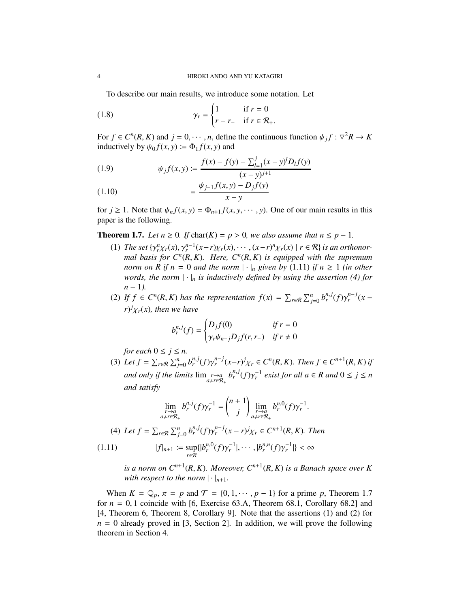To describe our main results, we introduce some notation. Let

(1.8) 
$$
\gamma_r = \begin{cases} 1 & \text{if } r = 0 \\ r - r_- & \text{if } r \in \mathcal{R}_+ . \end{cases}
$$

For  $f \in C^n(R, K)$  and  $j = 0, \dots, n$ , define the continuous function  $\psi_j f : \nabla^2 R \to K$ inductively by  $\psi_0 f(x, y) \coloneqq \Phi_1 f(x, y)$  and

(1.9) 
$$
\psi_j f(x, y) := \frac{f(x) - f(y) - \sum_{l=1}^j (x - y)^l D_l f(y)}{(x - y)^{j+1}}
$$

(1.10) 
$$
= \frac{\psi_{j-1}f(x,y) - D_jf(y)}{x-y}
$$

for  $j \ge 1$ . Note that  $\psi_n f(x, y) = \Phi_{n+1} f(x, y, \dots, y)$ . One of our main results in this paper is the following.

**Theorem 1.7.** *Let*  $n \ge 0$ *. If* char( $K$ ) =  $p > 0$ *, we also assume that*  $n \le p - 1$ *.* 

- (1) *The set*  $\{\gamma_r^n \chi_r(x), \gamma_r^{n-1}(x-r)\chi_r(x), \cdots, (x-r)^n \chi_r(x) \mid r \in \mathcal{R}\}\)$  *is an orthonormal basis for C<sup>n</sup>* (*R*, *K*)*. Here, C<sup>n</sup>* (*R*, *K*) *is equipped with the supremum norm on R if n* = 0 *and the norm*  $|\cdot|_n$  *given by* (1.11) *if n*  $\geq$  1 *(in other words, the norm*  $|\cdot|_n$  *is inductively defined by using the assertion* (4) for *n* − 1).
- (2) If  $f \in C^n(R, K)$  has the representation  $f(x) = \sum_{r \in \mathcal{R}} \sum_{j=0}^n b_r^{n,j} (f) \gamma_r^{n-j} (x$  $r$ <sup>*j*</sup> $\chi$ <sub>*r*</sub>(*x*)*,* then we have

$$
b_r^{n,j}(f) = \begin{cases} D_j f(0) & \text{if } r = 0\\ \gamma_r \psi_{n-j} D_j f(r, r_-) & \text{if } r \neq 0 \end{cases}
$$

*for each*  $0 \le j \le n$ *.* 

(3) Let  $f = \sum_{r \in \mathcal{R}} \sum_{j=0}^n b_r^{n,j} (f) \gamma_r^{n-j} (x-r)^j \chi_r \in C^n(R, K)$ . Then  $f \in C^{n+1}(R, K)$  if *and only if the limits*  $\lim_{\substack{r\to a\\a\neq r\in\mathcal{R}_+}} b_r^{n,j}(f) \gamma_r^{-1}$  *exist for all a*  $\in R$  *and*  $0 \le j \le n$ *and satisfy*

$$
\lim_{\substack{r\to a\\ a\neq r\in\mathcal{R}_+}} b_r^{n,j}(f)\gamma_r^{-1} = \binom{n+1}{j}\lim_{\substack{r\to a\\ a\neq r\in\mathcal{R}_+}} b_r^{n,0}(f)\gamma_r^{-1}.
$$

(4) Let 
$$
f = \sum_{r \in \mathcal{R}} \sum_{j=0}^{n} b_r^{n,j}(f) \gamma_r^{n-j}(x-r)^j \chi_r \in C^{n+1}(R, K)
$$
. Then

$$
(1.11) \t |f|_{n+1} := \sup_{r \in \mathcal{R}} \{ |b_r^{n,0}(f)\gamma_r^{-1}|, \cdots, |b_r^{n,n}(f)\gamma_r^{-1}| \} < \infty
$$

*is a norm on Cn*+<sup>1</sup> (*R*, *K*)*. Moreover, Cn*+<sup>1</sup> (*R*, *K*) *is a Banach space over K with respect to the norm*  $|\cdot|_{n+1}$ *.* 

When  $K = \mathbb{Q}_p$ ,  $\pi = p$  and  $\mathcal{T} = \{0, 1, \dots, p - 1\}$  for a prime p, Theorem 1.7 for  $n = 0, 1$  coincide with [6, Exercise 63.A, Theorem 68.1, Corollary 68.2] and [4, Theorem 6, Theorem 8, Corollary 9]. Note that the assertions (1) and (2) for  $n = 0$  already proved in [3, Section 2]. In addition, we will prove the following theorem in Section 4.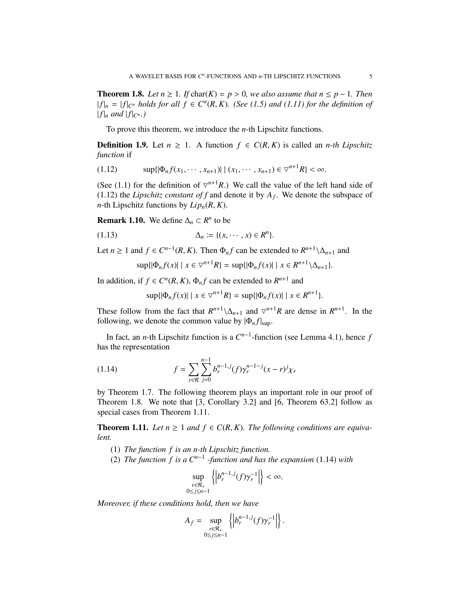**Theorem 1.8.** *Let*  $n \ge 1$ *. If* char( $K$ ) =  $p > 0$ *, we also assume that*  $n \le p - 1$ *. Then*  $|f|_n = |f|_{C^n}$  *holds for all*  $f \in C^n(R, K)$ *. (See (1.5) and (1.11) for the definition of*  $|f|_n$  *and*  $|f|_{C^n}$ .)

To prove this theorem, we introduce the *n*-th Lipschitz functions.

**Definition 1.9.** Let  $n \geq 1$ . A function  $f \in C(R, K)$  is called an *n-th Lipschitz function* if

$$
(1.12) \t\t\t sup\{\left|\Phi_n f(x_1,\cdots,x_{n+1})\right| \mid (x_1,\cdots,x_{n+1}) \in \nabla^{n+1} R\} < \infty.
$$

(See (1.1) for the definition of  $\nabla^{n+1}R$ .) We call the value of the left hand side of  $(1.12)$  the *Lipschitz constant of f* and denote it by  $A_f$ . We denote the subspace of *n*-th Lipschitz functions by  $Lip_n(R, K)$ .

**Remark 1.10.** We define  $\Delta_n \subset R^n$  to be

$$
(1.13) \qquad \qquad \Delta_n := \{ (x, \cdots, x) \in R^n \}.
$$

Let *n*  $\geq 1$  and  $f \in C^{n-1}(R, K)$ . Then  $\Phi_n f$  can be extended to  $R^{n+1} \setminus \Delta_{n+1}$  and

$$
\sup\{|\Phi_n f(x)| \mid x \in \nabla^{n+1} R\} = \sup\{|\Phi_n f(x)| \mid x \in R^{n+1} \setminus \Delta_{n+1}\}.
$$

In addition, if  $f \in C^n(R, K)$ ,  $\Phi_n f$  can be extended to  $R^{n+1}$  and

$$
\sup\{|\Phi_n f(x)| \mid x \in \nabla^{n+1} R\} = \sup\{|\Phi_n f(x)| \mid x \in R^{n+1}\}.
$$

These follow from the fact that  $R^{n+1} \setminus \Delta_{n+1}$  and  $\nabla^{n+1}R$  are dense in  $R^{n+1}$ . In the following, we denote the common value by  $|\Phi_n f|_{\text{sun}}$ .

In fact, an *n*-th Lipschitz function is a  $C^{n-1}$ -function (see Lemma 4.1), hence *f* has the representation

(1.14) 
$$
f = \sum_{r \in \mathcal{R}} \sum_{j=0}^{n-1} b_r^{n-1,j} (f) \gamma_r^{n-1-j} (x - r)^j \chi_r
$$

by Theorem 1.7. The following theorem plays an important role in our proof of Theorem 1.8. We note that [3, Corollary 3.2] and [6, Theorem 63.2] follow as special cases from Theorem 1.11.

**Theorem 1.11.** *Let*  $n \ge 1$  *and*  $f \in C(R, K)$ *. The following conditions are equivalent.*

- (1) *The function f is an n-th Lipschitz function.*
- (2) *The function f is a Cn*−<sup>1</sup> *-function and has the expansion* (1.14) *with*

$$
\sup_{\substack{r \in \mathcal{R}_+ \\ 0 \le j \le n-1}} \left\{ \left| b_r^{n-1,j}(f) \gamma_r^{-1} \right| \right\} < \infty.
$$

*Moreover, if these conditions hold, then we have*

$$
A_f = \sup_{\substack{r \in \mathcal{R}_+ \\ 0 \le j \le n-1}} \left\{ \left| b_r^{n-1,j}(f) \gamma_r^{-1} \right| \right\}.
$$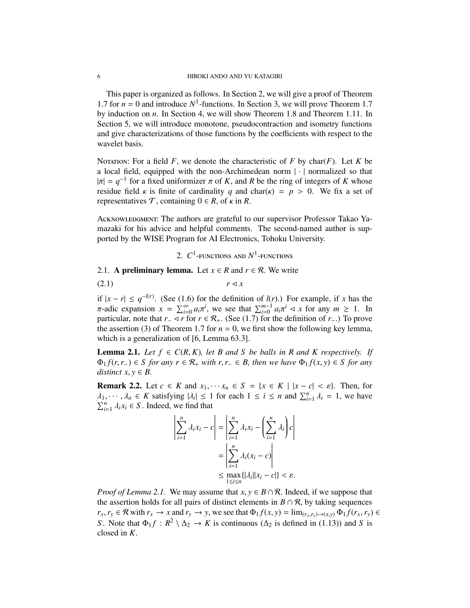This paper is organized as follows. In Section 2, we will give a proof of Theorem 1.7 for  $n = 0$  and introduce  $N^1$ -functions. In Section 3, we will prove Theorem 1.7 by induction on *n*. In Section 4, we will show Theorem 1.8 and Theorem 1.11. In Section 5, we will introduce monotone, pseudocontraction and isometry functions and give characterizations of those functions by the coefficients with respect to the wavelet basis.

NOTATION: For a field  $F$ , we denote the characteristic of  $F$  by char( $F$ ). Let  $K$  be a local field, equipped with the non-Archimedean norm | · | normalized so that  $|\pi| = q^{-1}$  for a fixed uniformizer  $\pi$  of *K*, and *R* be the ring of integers of *K* whose residue field  $\kappa$  is finite of cardinality *q* and char( $\kappa$ ) = *p* > 0. We fix a set of representatives  $\mathcal{T}$ , containing  $0 \in R$ , of  $\kappa$  in  $R$ .

Acknowledgment: The authors are grateful to our supervisor Professor Takao Yamazaki for his advice and helpful comments. The second-named author is supported by the WISE Program for AI Electronics, Tohoku University.

2.  $C^1$ -functions and  $N^1$ -functions

2.1. A preliminary lemma. Let  $x \in R$  and  $r \in \mathcal{R}$ . We write

 $r \triangleleft x$ 

if  $|x - r|$  ≤  $q^{-l(r)}$ . (See (1.6) for the definition of *l*(*r*).) For example, if *x* has the  $\pi$ -adic expansion  $x = \sum_{i=0}^{\infty} a_i \pi^i$ , we see that  $\sum_{i=0}^{m-1} a_i \pi^i \prec x$  for any  $m \ge 1$ . In particular, note that  $r_-\triangleleft r$  for  $r \in \mathcal{R}_+$ . (See (1.7) for the definition of  $r_-\cdot$ .) To prove the assertion (3) of Theorem 1.7 for  $n = 0$ , we first show the following key lemma, which is a generalization of [6, Lemma 63.3].

**Lemma 2.1.** Let  $f \in C(R, K)$ , let B and S be balls in R and K respectively. If  $Φ_1 f(r, r_−) ∈ S$  *for any*  $r ∈ R_+$  *with*  $r, r_− ∈ B$ *, then we have*  $Φ_1 f(x, y) ∈ S$  *for any distinct*  $x, y \in B$ .

**Remark 2.2.** Let  $c \in K$  and  $x_1, \dots, x_n \in S = \{x \in K \mid |x - c| < \varepsilon\}$ . Then, for  $\lambda_1, \dots, \lambda_n \in K$  satisfying  $|\lambda_i| \leq 1$  for each  $1 \leq i \leq n$  and  $\sum_{i=1}^n \lambda_i = 1$ , we have  $\sum_{i=1}^{n} \lambda_i x_i \in S$ . Indeed, we find that

$$
\left| \sum_{i=1}^{n} \lambda_i x_i - c \right| = \left| \sum_{i=1}^{n} \lambda_i x_i - \left( \sum_{i=1}^{n} \lambda_i \right) c \right|
$$

$$
= \left| \sum_{i=1}^{n} \lambda_i (x_i - c) \right|
$$

$$
\leq \max_{1 \leq i \leq n} \{ |\lambda_i| |x_i - c| \} < \varepsilon.
$$

*Proof of Lemma 2.1.* We may assume that  $x, y \in B \cap \mathcal{R}$ . Indeed, if we suppose that the assertion holds for all pairs of distinct elements in  $B \cap \mathcal{R}$ , by taking sequences  $r_x, r_y \in \mathcal{R}$  with  $r_x \to x$  and  $r_y \to y$ , we see that  $\Phi_1 f(x, y) = \lim_{(r_x, r_y) \to (x, y)} \Phi_1 f(r_x, r_y) \in$ *S*. Note that  $\Phi_1 f : R^2 \setminus \Delta_2 \to K$  is continuous ( $\Delta_2$  is defined in (1.13)) and *S* is closed in *K*.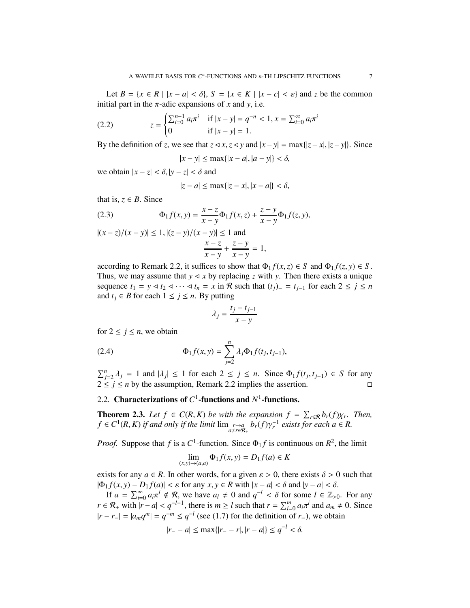Let  $B = \{x \in R \mid |x - a| < \delta\}$ ,  $S = \{x \in K \mid |x - c| < \varepsilon\}$  and  $\zeta$  be the common initial part in the  $\pi$ -adic expansions of *x* and *y*, i.e.

(2.2) 
$$
z = \begin{cases} \sum_{i=0}^{n-1} a_i \pi^i & \text{if } |x - y| = q^{-n} < 1, x = \sum_{i=0}^{\infty} a_i \pi^i \\ 0 & \text{if } |x - y| = 1. \end{cases}
$$

By the definition of *z*, we see that  $z \triangleleft x$ ,  $z \triangleleft y$  and  $|x-y| = \max\{|z-x|, |z-y|\}$ . Since

$$
|x - y| \le \max\{|x - a|, |a - y|\} < \delta,
$$

we obtain  $|x - z| < \delta$ ,  $|y - z| < \delta$  and

$$
|z - a| \le \max\{|z - x|, |x - a|\} < \delta,
$$

that is,  $z \in B$ . Since

(2.3) 
$$
\Phi_1 f(x, y) = \frac{x - z}{x - y} \Phi_1 f(x, z) + \frac{z - y}{x - y} \Phi_1 f(z, y),
$$

 $|(x - z)/(x - y)|$  ≤ 1,  $|(z - y)/(x - y)|$  ≤ 1 and *x* − *z x* − *y*  $+\frac{z-y}{z}$  $\frac{z-y}{x-y} = 1,$ 

according to Remark 2.2, it suffices to show that  $\Phi_1 f(x, z) \in S$  and  $\Phi_1 f(z, y) \in S$ . Thus, we may assume that  $y \leq x$  by replacing *z* with *y*. Then there exists a unique sequence  $t_1 = y \triangleleft t_2 \triangleleft \cdots \triangleleft t_n = x$  in R such that  $(t_j)$ − =  $t_{j-1}$  for each  $2 \le j \le n$ and  $t_j \in B$  for each  $1 \leq j \leq n$ . By putting

$$
\lambda_j = \frac{t_j - t_{j-1}}{x - y}
$$

for  $2 \leq j \leq n$ , we obtain

(2.4) 
$$
\Phi_1 f(x, y) = \sum_{j=2}^n \lambda_j \Phi_1 f(t_j, t_{j-1}),
$$

 $\sum_{j=2}^{n} \lambda_j = 1$  and  $|\lambda_j|$  ≤ 1 for each 2 ≤ *j* ≤ *n*. Since  $\Phi_1 f(t_j, t_{j-1})$  ∈ *S* for any  $2 \le j \le n$  by the assumption, Remark 2.2 implies the assertion.

# 2.2. Characterizations of  $C^1$ -functions and  $N^1$ -functions.

**Theorem 2.3.** Let  $f \in C(R, K)$  be with the expansion  $f = \sum_{r \in \mathcal{R}} b_r(f) \chi_r$ . Then,  $f \in C^1(R, K)$  *if and only if the limit*  $\lim_{a \neq r \in R_+} b_r(f) \gamma_r^{-1}$  exists for each  $a \in R$ .

*Proof.* Suppose that *f* is a *C*<sup>1</sup>-function. Since  $\Phi_1 f$  is continuous on  $R^2$ , the limit

$$
\lim_{(x,y)\to(a,a)} \Phi_1 f(x,y) = D_1 f(a) \in K
$$

exists for any  $a \in R$ . In other words, for a given  $\varepsilon > 0$ , there exists  $\delta > 0$  such that  $|\Phi_1 f(x, y) - D_1 f(a)| < \varepsilon$  for any *x*, *y* ∈ *R* with  $|x - a| < \delta$  and  $|y - a| < \delta$ .

If  $a = \sum_{i=0}^{\infty} a_i \pi^i \notin \mathcal{R}$ , we have  $a_l \neq 0$  and  $q^{-l} < \delta$  for some  $l \in \mathbb{Z}_{>0}$ . For any *r* ∈  $\mathcal{R}_+$  with  $|r - a| < q^{-l-1}$ , there is  $m \ge l$  such that  $r = \sum_{i=0}^m a_i \pi^i$  and  $a_m \ne 0$ . Since  $|r - r_-\| = |a_m q^m| = q^{-m} \le q^{-l}$  (see (1.7) for the definition of *r*<sub>−</sub>), we obtain

$$
|r_{-} - a| \le \max\{|r_{-} - r|, |r - a|\} \le q^{-l} < \delta.
$$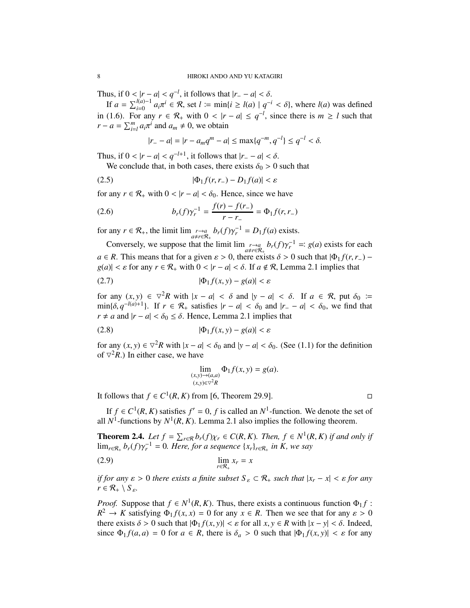Thus, if  $0 < |r - a| < q^{-l}$ , it follows that  $|r - a| < \delta$ .

If  $a = \sum_{i=0}^{l(a)-1} a_i \pi^i \in \mathcal{R}$ , set  $l := \min\{i \ge l(a) \mid q^{-i} < \delta\}$ , where  $l(a)$  was defined in (1.6). For any  $r \in \mathcal{R}_+$  with  $0 < |r - a| \leq q^{-l}$ , since there is  $m \geq l$  such that  $r - a = \sum_{i=1}^{m} a_i \pi^i$  and  $a_m \neq 0$ , we obtain

$$
|r_{-} - a| = |r - a_m q^m - a| \le \max\{q^{-m}, q^{-l}\} \le q^{-l} < \delta.
$$

Thus, if  $0 < |r - a| < q^{-l+1}$ , it follows that  $|r - a| < \delta$ .

We conclude that, in both cases, there exists  $\delta_0 > 0$  such that

$$
(2.5) \qquad |\Phi_1 f(r, r_-) - D_1 f(a)| < \varepsilon
$$

for any  $r \in \mathcal{R}_+$  with  $0 < |r - a| < \delta_0$ . Hence, since we have

(2.6) 
$$
b_r(f)\gamma_r^{-1} = \frac{f(r) - f(r_-)}{r - r_-} = \Phi_1 f(r, r_-)
$$

for any  $r \in \mathcal{R}_+$ , the limit  $\lim_{\substack{r \to a \\ a \neq r \in \mathcal{R}_+}} b_r(f) \gamma_r^{-1} = D_1 f(a)$  exists.

Conversely, we suppose that the limit  $\lim_{a \to r \in \mathcal{R}_+} b_r(f) \gamma_r^{-1} =: g(a)$  exists for each  $a \in R$ . This means that for a given  $\varepsilon > 0$ , there exists  $\delta > 0$  such that  $|\Phi_1 f(r, r_-)$  $g(a)| < \varepsilon$  for any  $r \in \mathcal{R}_+$  with  $0 < |r - a| < \delta$ . If  $a \notin \mathcal{R}$ , Lemma 2.1 implies that

$$
|\Phi_1 f(x, y) - g(a)| < \varepsilon
$$

for any  $(x, y) \in \nabla^2 R$  with  $|x - a| < \delta$  and  $|y - a| < \delta$ . If  $a \in \mathcal{R}$ , put  $\delta_0 :=$  $\min{\delta, q^{-l(a)+1}}$ . If  $r \in \mathcal{R}_+$  satisfies  $|r - a| < \delta_0$  and  $|r - a| < \delta_0$ , we find that *r* ≠ *a* and  $|r − a| < \delta_0 \leq \delta$ . Hence, Lemma 2.1 implies that

$$
(2.8) \t\t |\Phi_1 f(x, y) - g(a)| < \varepsilon
$$

for any  $(x, y) \in \nabla^2 R$  with  $|x - a| < \delta_0$  and  $|y - a| < \delta_0$ . (See (1.1) for the definition of  $\nabla^2 R$ .) In either case, we have

$$
\lim_{\substack{(x,y)\to(a,a)\\(x,y)\in\mathcal{V}^2R}}\Phi_1f(x,y)=g(a).
$$

It follows that  $f \in C^1(R, K)$  from [6, Theorem 29.9].

If  $f \in C^1(R, K)$  satisfies  $f' = 0$ ,  $f$  is called an  $N^1$ -function. We denote the set of all  $N^1$ -functions by  $N^1(R, K)$ . Lemma 2.1 also implies the following theorem.

**Theorem 2.4.** *Let*  $f = \sum_{r \in \mathcal{R}} b_r(f) \chi_r \in C(R, K)$ *. Then,*  $f \in N^1(R, K)$  *if and only if*  $\lim_{r \in \mathcal{R}_+} b_r(f) \gamma_r^{-1} = 0$ . Here, for a sequence  $\{x_r\}_{r \in \mathcal{R}_+}$  in K, we say

$$
\lim_{r \in \mathcal{R}_+} x_r = x
$$

*if for any*  $\varepsilon > 0$  *there exists a finite subset*  $S_{\varepsilon} \subset \mathcal{R}_+$  *such that*  $|x_r - x| < \varepsilon$  *for any*  $r \in \mathcal{R}_+ \setminus S_{\varepsilon}$ *.* 

*Proof.* Suppose that  $f \in N^1(R, K)$ . Thus, there exists a continuous function  $\Phi_1 f$ :  $R^2 \to K$  satisfying  $\Phi_1 f(x, x) = 0$  for any  $x \in R$ . Then we see that for any  $\varepsilon > 0$ there exists  $\delta > 0$  such that  $|\Phi_1 f(x, y)| < \varepsilon$  for all  $x, y \in R$  with  $|x - y| < \delta$ . Indeed, since  $\Phi_1 f(a, a) = 0$  for  $a \in R$ , there is  $\delta_a > 0$  such that  $|\Phi_1 f(x, y)| < \varepsilon$  for any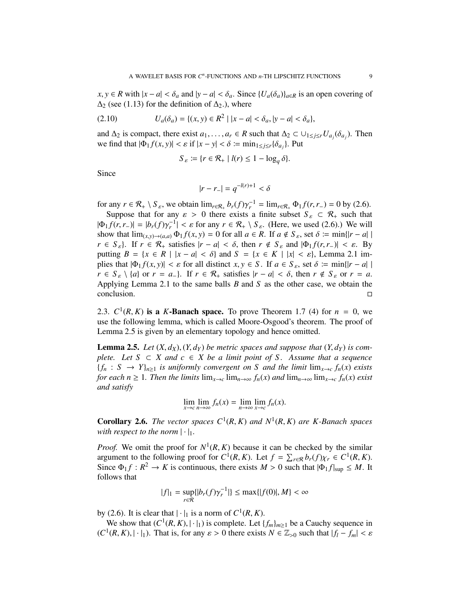*x*, *y* ∈ *R* with  $|x - a| < \delta_a$  and  $|y - a| < \delta_a$ . Since  $\{U_a(\delta_a)\}_{a \in R}$  is an open covering of  $\Delta_2$  (see (1.13) for the definition of  $\Delta_2$ .), where

(2.10) 
$$
U_a(\delta_a) = \{(x, y) \in R^2 \mid |x - a| < \delta_a, |y - a| < \delta_a\},
$$

and  $\Delta_2$  is compact, there exist  $a_1, \ldots, a_r \in R$  such that  $\Delta_2 \subset \cup_{1 \leq j \leq r} U_{a_j}(\delta_{a_j})$ . Then we find that  $|\Phi_1 f(x, y)| < \varepsilon$  if  $|x - y| < \delta := \min_{1 \le j \le r} {\delta_{a_j}}$ . Put

$$
S_{\varepsilon} := \{ r \in \mathcal{R}_+ \mid l(r) \le 1 - \log_q \delta \}.
$$

Since

$$
|r - r_{-}| = q^{-l(r)+1} < \delta
$$

for any  $r \in \mathcal{R}_+ \setminus S_\varepsilon$ , we obtain  $\lim_{r \in \mathcal{R}_+} b_r(f) \gamma_r^{-1} = \lim_{r \in \mathcal{R}_+} \Phi_1(f(r, r_-) = 0$  by (2.6).

Suppose that for any  $\varepsilon > 0$  there exists a finite subset  $S_{\varepsilon} \subset \mathcal{R}_+$  such that  $|\Phi_1 f(r, r_-)| = |b_r(f) \gamma_r^{-1}| < \varepsilon$  for any  $r \in \mathcal{R}_+ \setminus S_\varepsilon$ . (Here, we used (2.6).) We will show that  $\lim_{(x,y)\to(a,a)} \Phi_1 f(x, y) = 0$  for all  $a \in R$ . If  $a \notin S_{\varepsilon}$ , set  $\delta := \min\{|r - a||$  $r \in S_{\varepsilon}$ . If  $r \in \mathcal{R}_+$  satisfies  $|r - a| < \delta$ , then  $r \notin S_{\varepsilon}$  and  $|\Phi_1 f(r, r_-)| < \varepsilon$ . By putting  $B = \{x \in R \mid |x - a| < \delta\}$  and  $S = \{x \in K \mid |x| < \varepsilon\}$ , Lemma 2.1 implies that  $|\Phi_1 f(x, y)| < \varepsilon$  for all distinct  $x, y \in S$ . If  $a \in S_\varepsilon$ , set  $\delta := \min\{|r - a||$  $r \in S_{\varepsilon} \setminus \{a\}$  or  $r = a_{-}\}\$ . If  $r \in \mathcal{R}_{+}$  satisfies  $|r - a| < \delta$ , then  $r \notin S_{\varepsilon}$  or  $r = a$ . Applying Lemma 2.1 to the same balls *B* and *S* as the other case, we obtain the conclusion.

2.3.  $C^1(R, K)$  is a *K*-Banach space. To prove Theorem 1.7 (4) for  $n = 0$ , we use the following lemma, which is called Moore-Osgood's theorem. The proof of Lemma 2.5 is given by an elementary topology and hence omitted.

**Lemma 2.5.** Let  $(X, d_X), (Y, d_Y)$  be metric spaces and suppose that  $(Y, d_Y)$  is com*plete.* Let  $S \subset X$  and  $c \in X$  be a limit point of S. Assume that a sequence  ${f_n : S \rightarrow Y}_{n \geq 1}$  *is uniformly convergent on S and the limit*  $\lim_{x \to c} f_n(x)$  *exists for each n*  $\geq$  1*. Then the limits*  $\lim_{x\to c} \lim_{n\to\infty} f_n(x)$  *and*  $\lim_{n\to\infty} \lim_{x\to c} f_n(x)$  *exist and satisfy*

$$
\lim_{x \to c} \lim_{n \to \infty} f_n(x) = \lim_{n \to \infty} \lim_{x \to c} f_n(x).
$$

**Corollary 2.6.** *The vector spaces*  $C^1(R, K)$  *and*  $N^1(R, K)$  *are K*-Banach spaces *with respect to the norm*  $|\cdot|_1$ .

*Proof.* We omit the proof for  $N^1(R, K)$  because it can be checked by the similar argument to the following proof for  $C^1(R, K)$ . Let  $f = \sum_{r \in \mathcal{R}} b_r(f) \chi_r \in C^1(R, K)$ . Since  $\Phi_1 f : R^2 \to K$  is continuous, there exists  $M > 0$  such that  $|\Phi_1 f|_{\text{sup}} \leq M$ . It follows that

$$
|f|_1 = \sup_{r \in \mathcal{R}} \{|b_r(f)\gamma_r^{-1}|\} \le \max\{|f(0)|, M\} < \infty
$$

by (2.6). It is clear that  $|\cdot|_1$  is a norm of  $C^1(R, K)$ .

We show that  $(C^1(R, K), |\cdot|_1)$  is complete. Let  $\{f_m\}_{m \geq 1}$  be a Cauchy sequence in  $(C^1(R, K), |\cdot|_1)$ . That is, for any  $\varepsilon > 0$  there exists  $N \in \mathbb{Z}_{>0}$  such that  $|f_l - f_m| < \varepsilon$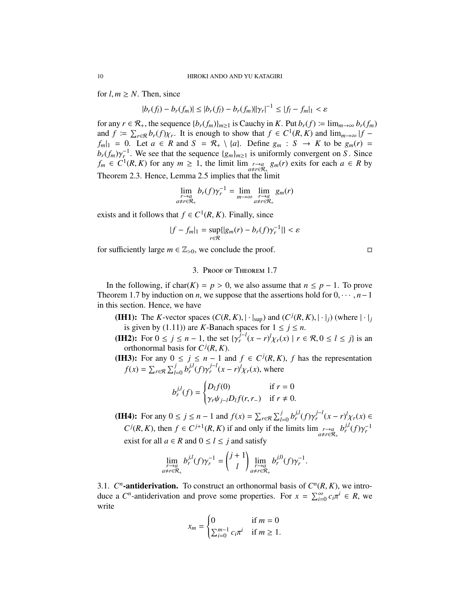for  $l, m \geq N$ . Then, since

$$
|b_r(f_l) - b_r(f_m)| \le |b_r(f_l) - b_r(f_m)||\gamma_r|^{-1} \le |f_l - f_m|_1 < \varepsilon
$$

for any  $r \in \mathcal{R}_+$ , the sequence  $\{b_r(f_m)\}_{m \geq 1}$  is Cauchy in *K*. Put  $b_r(f) \coloneq \lim_{m \to \infty} b_r(f_m)$ and  $f \coloneqq \sum_{r \in \mathcal{R}} b_r(f) \chi_r$ . It is enough to show that  $f \in C^1(R, K)$  and  $\lim_{m \to \infty} |f - f|$  $f_m|_1 = 0$ . Let  $a \in R$  and  $S = \mathcal{R}_+ \setminus \{a\}$ . Define  $g_m : S \to K$  to be  $g_m(r) =$  $b_r(f_m)\gamma_r^{-1}$ . We see that the sequence  $\{g_m\}_{m\geq 1}$  is uniformly convergent on *S*. Since  $f_m \in C^1(R, K)$  for any  $m \ge 1$ , the limit lim  $\lim_{a \ne r \in R_+} g_m(r)$  exits for each  $a \in R$  by Theorem 2.3. Hence, Lemma 2.5 implies that the limit

$$
\lim_{\substack{r \to a \\ a \neq r \in \mathcal{R}_+}} b_r(f)\gamma_r^{-1} = \lim_{m \to \infty} \lim_{\substack{r \to a \\ a \neq r \in \mathcal{R}_+}} g_m(r)
$$

exists and it follows that  $f \in C^1(R, K)$ . Finally, since

$$
|f - f_m|_1 = \sup_{r \in \mathcal{R}} \{ |g_m(r) - b_r(f)\gamma_r^{-1}| \} < \varepsilon
$$

for sufficiently large  $m \in \mathbb{Z}_{>0}$ , we conclude the proof.

## 3. Proof of Theorem 1.7

In the following, if char(*K*) = *p* > 0, we also assume that *n* ≤ *p* − 1. To prove Theorem 1.7 by induction on *n*, we suppose that the assertions hold for  $0, \dots, n-1$ in this section. Hence, we have

(IH1): The *K*-vector spaces  $(C(R, K), |\cdot|_{\text{sup}})$  and  $(C^{j}(R, K), |\cdot|_{j})$  (where  $|\cdot|_{j}$ ) is given by (1.11)) are *K*-Banach spaces for  $1 \le j \le n$ .

(IH2): For  $0 \le j \le n - 1$ , the set  $\{\gamma_r^{j-l}(x - r)^l \chi_r(x) \mid r \in \mathcal{R}, 0 \le l \le j\}$  is an orthonormal basis for  $C^j(R, K)$ .

(IH3): For any  $0 \le j \le n - 1$  and  $f \in C^{j}(R, K)$ , f has the representation  $f(x) = \sum_{r \in \mathcal{R}} \sum_{l=0}^{j} b_r^{j,l} (f) \gamma_r^{j-l} (x - r)^l \chi_r(x)$ , where

$$
b_r^{j,l}(f) = \begin{cases} D_l f(0) & \text{if } r = 0\\ \gamma_r \psi_{j-l} D_l f(r, r_-) & \text{if } r \neq 0. \end{cases}
$$

**(IH4):** For any  $0 \le j \le n - 1$  and  $f(x) = \sum_{r \in \mathcal{R}} \sum_{l=0}^{j} b_r^{j,l}(f) \gamma_r^{j-l}(x - r)^l \chi_r(x) \in$  $C^j(R, K)$ , then  $f \in C^{j+1}(R, K)$  if and only if the limits  $\lim_{\substack{r \to a \\ a \neq r \in \mathcal{R}_+}} b_r^{j,l}(f) \gamma_r^{-1}$ exist for all  $a \in R$  and  $0 \le l \le j$  and satisfy

$$
\lim_{\substack{r \to a \\ a \neq r \in \mathcal{R}_+}} b_r^{j,l}(f) \gamma_r^{-1} = \binom{j+1}{l} \lim_{\substack{r \to a \\ a \neq r \in \mathcal{R}_+}} b_r^{j,0}(f) \gamma_r^{-1}.
$$

3.1.  $C^n$ -antiderivation. To construct an orthonormal basis of  $C^n(R, K)$ , we introduce a  $C^n$ -antiderivation and prove some properties. For  $x = \sum_{i=0}^{\infty} c_i \pi^i \in R$ , we write

$$
x_m = \begin{cases} 0 & \text{if } m = 0\\ \sum_{i=0}^{m-1} c_i \pi^i & \text{if } m \ge 1. \end{cases}
$$

$$
\Box
$$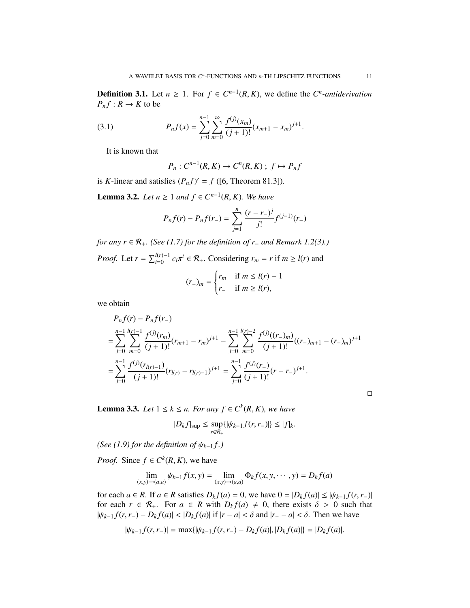**Definition 3.1.** Let *n* ≥ 1. For  $f$  ∈  $C^{n-1}(R, K)$ , we define the  $C^n$ -antiderivation  $P_n f: R \to K$  to be

(3.1) 
$$
P_n f(x) = \sum_{j=0}^{n-1} \sum_{m=0}^{\infty} \frac{f^{(j)}(x_m)}{(j+1)!} (x_{m+1} - x_m)^{j+1}.
$$

It is known that

$$
P_n: C^{n-1}(R, K) \to C^n(R, K) \; ; \; f \mapsto P_n f
$$

is *K*-linear and satisfies  $(P_n f)' = f$  ([6, Theorem 81.3]).

**Lemma 3.2.** *Let*  $n \ge 1$  *and*  $f \in C^{n-1}(R, K)$ *. We have* 

$$
P_n f(r) - P_n f(r_-) = \sum_{j=1}^n \frac{(r - r_-)^j}{j!} f^{(j-1)}(r_-)
$$

*for any r* ∈  $\mathcal{R}_+$ *. (See (1.7) for the definition of r<sub>−</sub> and Remark 1.2(3).) Proof.* Let  $r = \sum_{i=0}^{l(r)-1} c_i \pi^i \in \mathcal{R}_+$ . Considering  $r_m = r$  if  $m \ge l(r)$  and

$$
(r_{-})_{m} = \begin{cases} r_{m} & \text{if } m \leq l(r) - 1 \\ r_{-} & \text{if } m \geq l(r), \end{cases}
$$

we obtain

$$
P_n f(r) - P_n f(r_-)
$$
  
= 
$$
\sum_{j=0}^{n-1} \sum_{m=0}^{l(r)-1} \frac{f^{(j)}(r_m)}{(j+1)!} (r_{m+1} - r_m)^{j+1} - \sum_{j=0}^{n-1} \sum_{m=0}^{l(r)-2} \frac{f^{(j)}((r_-)_m)}{(j+1)!} ((r_-)_{m+1} - (r_-)_m)^{j+1}
$$
  
= 
$$
\sum_{j=0}^{n-1} \frac{f^{(j)}(r_{l(r)-1})}{(j+1)!} (r_{l(r)} - r_{l(r)-1})^{j+1} = \sum_{j=0}^{n-1} \frac{f^{(j)}(r_-)}{(j+1)!} (r-r_-)^{j+1}.
$$

**Lemma 3.3.** *Let*  $1 \le k \le n$ *. For any*  $f \in C^k(R, K)$ *, we have* 

$$
|D_k f|_{\sup} \leq \sup_{r \in \mathcal{R}_+} \{ |\psi_{k-1} f(r, r_-)| \} \leq |f|_k.
$$

*(See (1.9) for the definition of*  $\psi_{k-1}$ *f.)* 

*Proof.* Since  $f \in C^k(R, K)$ , we have

$$
\lim_{(x,y)\to(a,a)} \psi_{k-1} f(x,y) = \lim_{(x,y)\to(a,a)} \Phi_k f(x,y,\cdots,y) = D_k f(a)
$$

for each  $a \in R$ . If  $a \in R$  satisfies  $D_k f(a) = 0$ , we have  $0 = |D_k f(a)| \leq |\psi_{k-1} f(r, r_-)|$ for each  $r \in \mathcal{R}_+$ . For  $a \in R$  with  $D_k f(a) \neq 0$ , there exists  $\delta > 0$  such that  $|\psi_{k-1} f(r, r_-) - D_k f(a)|$  <  $|D_k f(a)|$  if  $|r - a| < \delta$  and  $|r_ - a| < \delta$ . Then we have

$$
|\psi_{k-1}f(r,r_{-})| = \max\{|\psi_{k-1}f(r,r_{-}) - D_kf(a)|, |D_kf(a)|\} = |D_kf(a)|.
$$

 $\Box$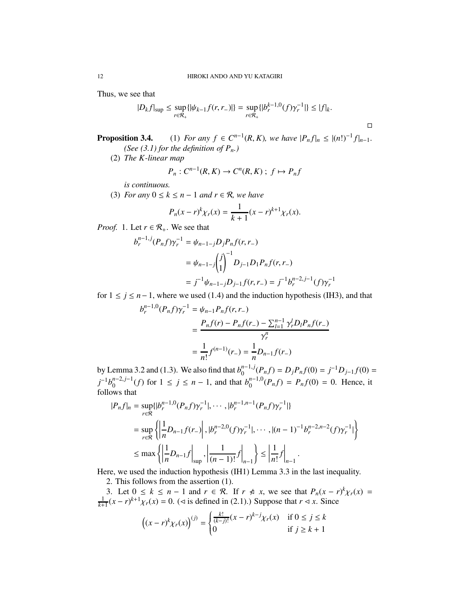Thus, we see that

$$
|D_{k}f|_{\sup} \leq \sup_{r \in \mathcal{R}_{+}} \{ |\psi_{k-1}f(r,r_{-})| \} = \sup_{r \in \mathcal{R}_{+}} \{ |b_{r}^{k-1,0}(f)\gamma_{r}^{-1}| \} \leq |f|_{k}.
$$

 $\Box$ 

**Proposition 3.4.** (1) *For any*  $f \in C^{n-1}(R, K)$ *, we have*  $|P_n f|_n \le |(n!)^{-1} f|_{n-1}$ *. (See (3.1) for the definition of Pn.)*

(2) *The K-linear map*

$$
P_n: C^{n-1}(R, K) \to C^n(R, K) \; ; \; f \mapsto P_n f
$$

*is continuous.*

(3) *For any*  $0 \le k \le n - 1$  *and*  $r \in \mathcal{R}$ *, we have* 

$$
P_n(x - r)^k \chi_r(x) = \frac{1}{k+1} (x - r)^{k+1} \chi_r(x).
$$

*Proof.* 1. Let  $r \in \mathcal{R}_+$ . We see that

$$
b_r^{n-1,j}(P_nf)\gamma_r^{-1} = \psi_{n-1-j}D_jP_nf(r,r_-)
$$
  
=  $\psi_{n-1-j}\begin{pmatrix}j\\1\end{pmatrix}^{-1}D_{j-1}D_1P_nf(r,r_-)$   
=  $j^{-1}\psi_{n-1-j}D_{j-1}f(r,r_-) = j^{-1}b_r^{n-2,j-1}(f)\gamma_r^{-1}$ 

for  $1 \le j \le n-1$ , where we used (1.4) and the induction hypothesis (IH3), and that

$$
b_r^{n-1,0}(P_nf)\gamma_r^{-1} = \psi_{n-1}P_nf(r,r_-)
$$
  
= 
$$
\frac{P_nf(r) - P_nf(r_-) - \sum_{l=1}^{n-1} \gamma_r^l D_l P_nf(r_-)}{\gamma_r^n}
$$
  
= 
$$
\frac{1}{n!}f^{(n-1)}(r_-) = \frac{1}{n}D_{n-1}f(r_-)
$$

by Lemma 3.2 and (1.3). We also find that  $b_0^{n-1,j}$  $D_j P_n f(0) = j^{-1} D_{j-1} f(0) =$  $j^{-1}b_0^{n-2,j-1}$  $\int_0^{n-2,j-1}(f)$  for 1 ≤ *j* ≤ *n* − 1, and that  $b_0^{n-1,0}$  $P_0^{n-1,0}(P_n f) = P_n f(0) = 0$ . Hence, it follows that

$$
|P_n f|_n = \sup_{r \in \mathcal{R}} \{ |b_r^{n-1,0}(P_n f) \gamma_r^{-1}|, \cdots, |b_r^{n-1,n-1}(P_n f) \gamma_r^{-1}| \}
$$
  
\n
$$
= \sup_{r \in \mathcal{R}} \left\{ \left| \frac{1}{n} D_{n-1} f(r_-) \right|, |b_r^{n-2,0}(f) \gamma_r^{-1}|, \cdots, |(n-1)^{-1} b_r^{n-2,n-2}(f) \gamma_r^{-1}| \right\}
$$
  
\n
$$
\leq \max \left\{ \left| \frac{1}{n} D_{n-1} f \right|_{\sup} , \left| \frac{1}{(n-1)!} f \right|_{n-1} \right\} \leq \left| \frac{1}{n!} f \right|_{n-1} .
$$

Here, we used the induction hypothesis (IH1) Lemma 3.3 in the last inequality. 2. This follows from the assertion (1).

3. Let  $0 \le k \le n - 1$  and  $r \in \mathcal{R}$ . If  $r \notin x$ , we see that  $P_n(x - r)^k \chi_r(x) = \frac{1}{k+1}(x - r)^{k+1} \chi_r(x) = 0$ . ( $\lhd$  is defined in (2.1).) Suppose that  $r \lhd x$ . Since

$$
((x - r)^{k} \chi_{r}(x))^{(j)} = \begin{cases} \frac{k!}{(k - j)!} (x - r)^{k - j} \chi_{r}(x) & \text{if } 0 \le j \le k\\ 0 & \text{if } j \ge k + 1 \end{cases}
$$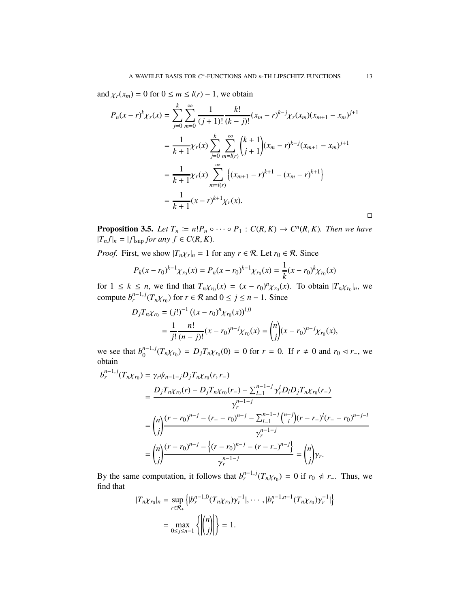and  $\chi_r(x_m) = 0$  for  $0 \le m \le l(r) - 1$ , we obtain

$$
P_n(x - r)^k \chi_r(x) = \sum_{j=0}^k \sum_{m=0}^\infty \frac{1}{(j+1)!} \frac{k!}{(k-j)!} (x_m - r)^{k-j} \chi_r(x_m) (x_{m+1} - x_m)^{j+1}
$$
  

$$
= \frac{1}{k+1} \chi_r(x) \sum_{j=0}^k \sum_{m=l(r)}^{\infty} {k+1 \choose j+1} (x_m - r)^{k-j} (x_{m+1} - x_m)^{j+1}
$$
  

$$
= \frac{1}{k+1} \chi_r(x) \sum_{m=l(r)}^{\infty} \left\{ (x_{m+1} - r)^{k+1} - (x_m - r)^{k+1} \right\}
$$
  

$$
= \frac{1}{k+1} (x - r)^{k+1} \chi_r(x).
$$

**Proposition 3.5.** *Let*  $T_n := n! P_n \circ \cdots \circ P_1 : C(R, K) \to C^n(R, K)$ *. Then we have*  $|T_nf|_n = |f|_{\text{sup}}$  *for any*  $f \in C(R, K)$ *.* 

*Proof.* First, we show  $|T_n \chi_r|_n = 1$  for any  $r \in \mathcal{R}$ . Let  $r_0 \in \mathcal{R}$ . Since

$$
P_k(x - r_0)^{k-1} \chi_{r_0}(x) = P_n(x - r_0)^{k-1} \chi_{r_0}(x) = \frac{1}{k} (x - r_0)^k \chi_{r_0}(x)
$$

for  $1 \leq k \leq n$ , we find that  $T_n \chi_{r_0}(x) = (x - r_0)^n \chi_{r_0}(x)$ . To obtain  $|T_n \chi_{r_0}|_n$ , we compute  $b_r^{n-1,j}(T_n\chi_{r_0})$  for  $r \in \mathcal{R}$  and  $0 \le j \le n-1$ . Since

$$
D_j T_n \chi_{r_0} = (j!)^{-1} ((x - r_0)^n \chi_{r_0}(x))^{(j)}
$$
  
= 
$$
\frac{1}{j!} \frac{n!}{(n-j)!} (x - r_0)^{n-j} \chi_{r_0}(x) = {n \choose j} (x - r_0)^{n-j} \chi_{r_0}(x),
$$

we see that  $b_0^{n-1,j}$  $\int_0^{n-1} f(T_n \chi_{r_0}) = D_j T_n \chi_{r_0}(0) = 0$  for  $r = 0$ . If  $r ≠ 0$  and  $r_0 \le r_$ , we obtain

$$
b_r^{n-1,j}(T_n\chi_{r_0}) = \gamma_r \psi_{n-1-j} D_j T_n \chi_{r_0}(r, r_-)
$$
  
= 
$$
\frac{D_j T_n \chi_{r_0}(r) - D_j T_n \chi_{r_0}(r_-) - \sum_{l=1}^{n-1-j} \gamma_r^l D_l D_j T_n \chi_{r_0}(r_-)}{\gamma_r^{n-1-j}}
$$
  
= 
$$
\binom{n}{j} \frac{(r-r_0)^{n-j} - (r_- - r_0)^{n-j} - \sum_{l=1}^{n-1-j} \binom{n-j}{l} (r-r_-)^l (r_- - r_0)^{n-j-l}}{\gamma_r^{n-1-j}}
$$
  
= 
$$
\binom{n}{j} \frac{(r-r_0)^{n-j} - \{(r-r_0)^{n-j} - (r-r_-)^{n-j}\}}{\gamma_r^{n-1-j}} = \binom{n}{j} \gamma_r.
$$

By the same computation, it follows that  $b_r^{n-1,j}(T_n\chi_{r_0}) = 0$  if  $r_0 \nless r$ -. Thus, we find that

$$
|T_{n\chi_{r_0}}|_n = \sup_{r \in \mathcal{R}_+} \left\{ |b_r^{n-1,0}(T_{n\chi_{r_0}})\gamma_r^{-1}|, \cdots, |b_r^{n-1,n-1}(T_{n\chi_{r_0}})\gamma_r^{-1}| \right\}
$$
  
= 
$$
\max_{0 \le j \le n-1} \left\{ \left| \binom{n}{j} \right| \right\} = 1.
$$

 $\Box$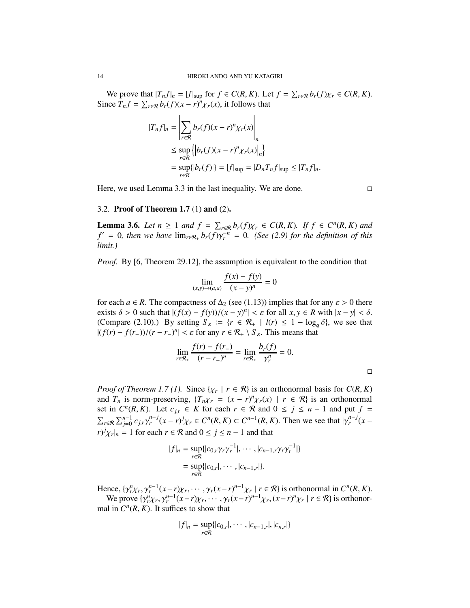We prove that  $|T_nf|_n = |f|_{\text{sup}}$  for  $f \in C(R, K)$ . Let  $f = \sum_{r \in \mathcal{R}} b_r(f)\chi_r \in C(R, K)$ . Since  $T_n f = \sum_{r \in \mathcal{R}} b_r(f)(x - r)^n \chi_r(x)$ , it follows that

$$
|T_n f|_n = \left| \sum_{r \in \mathcal{R}} b_r(f)(x - r)^n \chi_r(x) \right|_n
$$
  
\n
$$
\leq \sup_{r \in \mathcal{R}} \left\{ \left| b_r(f)(x - r)^n \chi_r(x) \right|_n \right\}
$$
  
\n
$$
= \sup_{r \in \mathcal{R}} \left\{ |b_r(f)| \right\} = |f|_{\sup} = |D_n T_n f|_{\sup} \leq |T_n f|_n.
$$

Here, we used Lemma 3.3 in the last inequality. We are done.

### 3.2. Proof of Theorem 1.7 (1) and (2).

**Lemma 3.6.** *Let*  $n \geq 1$  *and*  $f = \sum_{r \in \mathcal{R}} b_r(f) \chi_r \in C(R, K)$ . If  $f \in C^n(R, K)$  and  $f' = 0$ , then we have  $\lim_{r \in \mathcal{R}_+} b_r(f) \gamma_r^{-n} = 0$ . (See (2.9) for the definition of this *limit.)*

*Proof.* By [6, Theorem 29.12], the assumption is equivalent to the condition that

$$
\lim_{(x,y)\to(a,a)} \frac{f(x) - f(y)}{(x - y)^n} = 0
$$

for each *a* ∈ *R*. The compactness of  $\Delta_2$  (see (1.13)) implies that for any  $\varepsilon > 0$  there exists  $\delta > 0$  such that  $|(f(x) - f(y))/(x - y)^n| < \varepsilon$  for all  $x, y \in R$  with  $|x - y| < \delta$ . (Compare (2.10).) By setting  $S_{\varepsilon} := \{ r \in \mathcal{R}_+ \mid l(r) \leq 1 - \log_q \delta \}$ , we see that  $|(f(r) - f(r_-))/(r - r_-)^n| < \varepsilon$  for any  $r \in \mathcal{R}_+ \setminus S_\varepsilon$ . This means that

$$
\lim_{r \in \mathcal{R}_+} \frac{f(r) - f(r_-)}{(r - r_-)^n} = \lim_{r \in \mathcal{R}_+} \frac{b_r(f)}{\gamma_r^n} = 0.
$$

*Proof of Theorem 1.7 (1).* Since  $\{ \chi_r \mid r \in \mathcal{R} \}$  is an orthonormal basis for  $C(R, K)$ and  $T_n$  is norm-preserving,  $\{T_n\chi_r = (x - r)^n \chi_r(x) \mid r \in \mathcal{R}\}\)$  is an orthonormal set in  $C^n(R, K)$ . Let  $c_{j,r} \in K$  for each  $r \in \mathcal{R}$  and  $0 \leq j \leq n-1$  and put  $f =$  $\sum_{r \in \mathcal{R}} \sum_{j=0}^{n-1} c_{j,r} \gamma_r^{n-j} (x-r)^j \chi_r \in C^n(R,K) \subset C^{n-1}(R,K)$ . Then we see that  $|\gamma_r^{n-j}(x-r)|$  $\int r^j x_r \, dx = 1$  for each  $r \in \mathcal{R}$  and  $0 \le j \le n - 1$  and that

$$
|f|_n = \sup_{r \in \mathcal{R}} \{|c_{0,r}\gamma_r \gamma_r^{-1}|, \cdots, |c_{n-1,r}\gamma_r \gamma_r^{-1}|\}
$$
  
= 
$$
\sup_{r \in \mathcal{R}} \{|c_{0,r}|, \cdots, |c_{n-1,r}|\}.
$$

Hence,  $\{\gamma_r^n \chi_r, \gamma_r^{n-1} (x - r) \chi_r, \cdots, \gamma_r (x - r)^{n-1} \chi_r \mid r \in \mathcal{R}\}\)$  is orthonormal in  $C^n(R, K)$ . We prove  $\{\gamma_r^n \chi_r, \gamma_r^{n-1} (x - r) \chi_r, \cdots, \gamma_r (x - r)^{n-1} \chi_r, (x - r)^n \chi_r \mid r \in \mathcal{R}\}\)$  is orthonor*n*

mal in 
$$
C^n(R, K)
$$
. It suffices to show that

$$
|f|_n = \sup_{r \in \mathcal{R}} \{|c_{0,r}|, \cdots, |c_{n-1,r}|, |c_{n,r}|\}
$$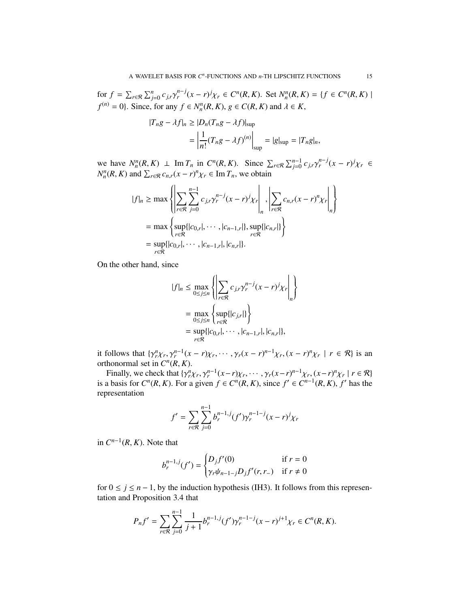for  $f = \sum_{r \in \mathcal{R}} \sum_{j=0}^{n} c_{j,r} \gamma_r^{n-j} (x - r)^j \chi_r \in C^n(R, K)$ . Set  $N_n^n(R, K) = \{ f \in C^n(R, K) \mid$  $f^{(n)} = 0$ . Since, for any  $f \in N_n^n(R, K)$ ,  $g \in C(R, K)$  and  $\lambda \in K$ ,

$$
|T_n g - \lambda f|_n \ge |D_n (T_n g - \lambda f)|_{\text{sup}}
$$
  
= 
$$
\left| \frac{1}{n!} (T_n g - \lambda f)^{(n)} \right|_{\text{sup}} = |g|_{\text{sup}} = |T_n g|_n,
$$

we have  $N_n^n(R, K) \perp \text{Im } T_n$  in  $C^n(R, K)$ . Since  $\sum_{r \in \mathcal{R}} \sum_{j=0}^{n-1} c_{j,r} \gamma_r^{n-j} (x - r)^j \chi_r \in$  $N_n^n(R, K)$  and  $\sum_{r \in \mathcal{R}} c_{n,r}(x - r)^n \chi_r \in \text{Im } T_n$ , we obtain

$$
|f|_{n} \geq \max \left\{ \left| \sum_{r \in \mathcal{R}} \sum_{j=0}^{n-1} c_{j,r} \gamma_{r}^{n-j} (x - r)^{j} \chi_{r} \right|_{n}, \left| \sum_{r \in \mathcal{R}} c_{n,r} (x - r)^{n} \chi_{r} \right|_{n} \right\}
$$
  
=  $\max \left\{ \sup_{r \in \mathcal{R}} \{ |c_{0,r}|, \cdots, |c_{n-1,r}|, \sup_{r \in \mathcal{R}} \{ |c_{n,r}| \} \right\}$   
=  $\sup_{r \in \mathcal{R}} \{ |c_{0,r}|, \cdots, |c_{n-1,r}|, |c_{n,r}| \}.$ 

On the other hand, since

$$
|f|_{n} \leq \max_{0 \leq j \leq n} \left\{ \left| \sum_{r \in \mathcal{R}} c_{j,r} \gamma_{r}^{n-j} (x - r)^{j} \chi_{r} \right|_{n} \right\}
$$
  
= 
$$
\max_{0 \leq j \leq n} \left\{ \sup_{r \in \mathcal{R}} \{ |c_{j,r}| \} \right\}
$$
  
= 
$$
\sup_{r \in \mathcal{R}} \{ |c_{0,r}|, \cdots, |c_{n-1,r}|, |c_{n,r}| \},
$$

it follows that  $\{\gamma_r^n \chi_r, \gamma_r^{n-1}(x-r)\chi_r, \cdots, \gamma_r(x-r)^{n-1}\chi_r, (x-r)^n\chi_r \mid r \in \mathcal{R}\}\)$  is an orthonormal set in  $C^n(R, K)$ .

Finally, we check that  $\{\gamma_r^n \chi_r, \gamma_r^{n-1} (x - r) \chi_r, \cdots, \gamma_r (x - r)^{n-1} \chi_r, (x - r)^n \chi_r \mid r \in \mathcal{R}\}$ is a basis for  $C^n(R, K)$ . For a given  $f \in C^n(R, K)$ , since  $f' \in C^{n-1}(R, K)$ ,  $f'$  has the representation

$$
f' = \sum_{r \in \mathcal{R}} \sum_{j=0}^{n-1} b_r^{n-1,j} (f') \gamma_r^{n-1-j} (x - r)^j \chi_r
$$

in  $C^{n-1}(R, K)$ . Note that

$$
b_r^{n-1,j}(f') = \begin{cases} D_j f'(0) & \text{if } r = 0\\ \gamma_r \psi_{n-1-j} D_j f'(r, r_-) & \text{if } r \neq 0 \end{cases}
$$

for  $0 \le j \le n - 1$ , by the induction hypothesis (IH3). It follows from this representation and Proposition 3.4 that

$$
P_n f' = \sum_{r \in \mathcal{R}} \sum_{j=0}^{n-1} \frac{1}{j+1} b_r^{n-1,j} (f') \gamma_r^{n-1-j} (x-r)^{j+1} \chi_r \in C^n(R, K).
$$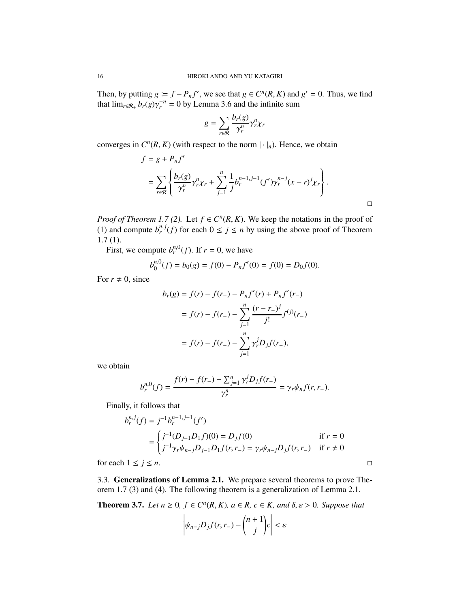Then, by putting  $g := f - P_n f'$ , we see that  $g \in C^n(R, K)$  and  $g' = 0$ . Thus, we find that  $\lim_{r \in \mathcal{R}_+} b_r(g) \gamma_r^{-n} = 0$  by Lemma 3.6 and the infinite sum

$$
g = \sum_{r \in \mathcal{R}} \frac{b_r(g)}{\gamma_r^n} \gamma_r^n \chi_r
$$

converges in  $C^n(R, K)$  (with respect to the norm  $|\cdot|_n$ ). Hence, we obtain

$$
f = g + P_n f'
$$
  
=  $\sum_{r \in \mathcal{R}} \left\{ \frac{b_r(g)}{\gamma_r^n} \gamma_r^n \chi_r + \sum_{j=1}^n \frac{1}{j} b_r^{n-1, j-1} (f') \gamma_r^{n-j} (x - r)^j \chi_r \right\}.$ 

*Proof of Theorem 1.7 (2).* Let  $f \in C^n(R, K)$ . We keep the notations in the proof of (1) and compute  $b_r^{n,j}(f)$  for each  $0 \le j \le n$  by using the above proof of Theorem 1.7 (1).

First, we compute  $b_r^{n,0}(f)$ . If  $r = 0$ , we have

$$
b_0^{n,0}(f) = b_0(g) = f(0) - P_nf'(0) = f(0) = D_0f(0).
$$

For  $r \neq 0$ , since

$$
b_r(g) = f(r) - f(r_-) - P_nf'(r) + P_nf'(r_-)
$$
  
=  $f(r) - f(r_-) - \sum_{j=1}^n \frac{(r - r_-)^j}{j!} f^{(j)}(r_-)$   
=  $f(r) - f(r_-) - \sum_{j=1}^n \gamma_r^j D_j f(r_-),$ 

we obtain

$$
b_r^{n,0}(f) = \frac{f(r) - f(r_-) - \sum_{j=1}^n \gamma_r^j D_j f(r_-)}{\gamma_r^n} = \gamma_r \psi_n f(r,r_-).
$$

Finally, it follows that

$$
b_r^{n,j}(f) = j^{-1}b_r^{n-1,j-1}(f')
$$
  
= 
$$
\begin{cases} j^{-1}(D_{j-1}D_1f)(0) = D_jf(0) & \text{if } r = 0\\ j^{-1}\gamma_r\psi_{n-j}D_{j-1}D_1f(r,r_{-}) = \gamma_r\psi_{n-j}D_jf(r,r_{-}) & \text{if } r \neq 0 \end{cases}
$$

for each  $1 \le j \le n$ .

3.3. Generalizations of Lemma 2.1. We prepare several theorems to prove Theorem 1.7 (3) and (4). The following theorem is a generalization of Lemma 2.1.

**Theorem 3.7.** *Let*  $n \geq 0$ ,  $f \in C^n(R, K)$ ,  $a \in R$ ,  $c \in K$ , and  $\delta, \varepsilon > 0$ . Suppose that

$$
\left|\psi_{n-j}D_jf(r,r_-)-\binom{n+1}{j}c\right|<\varepsilon
$$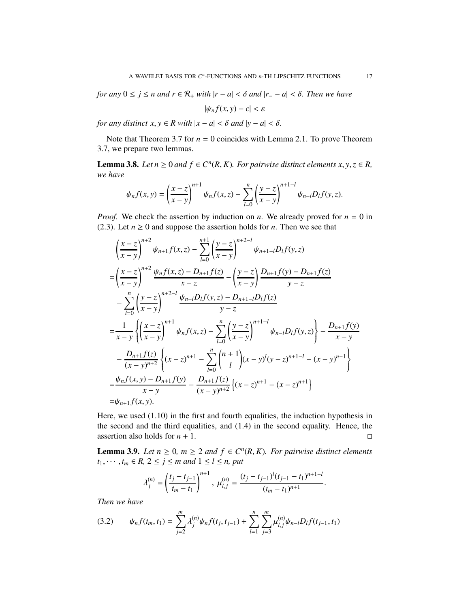*for any*  $0 \le j \le n$  *and*  $r \in \mathcal{R}_+$  *with*  $|r - a| < \delta$  *and*  $|r - a| < \delta$ *. Then we have* 

$$
|\psi_n f(x, y) - c| < \varepsilon
$$

*for any distinct*  $x, y \in R$  *with*  $|x - a| < \delta$  *and*  $|y - a| < \delta$ *.* 

Note that Theorem 3.7 for  $n = 0$  coincides with Lemma 2.1. To prove Theorem 3.7, we prepare two lemmas.

**Lemma 3.8.** *Let*  $n \geq 0$  *and*  $f \in C^n(R, K)$ *. For pairwise distinct elements*  $x, y, z \in R$ *, we have*

$$
\psi_n f(x, y) = \left(\frac{x - z}{x - y}\right)^{n+1} \psi_n f(x, z) - \sum_{l=0}^n \left(\frac{y - z}{x - y}\right)^{n+1-l} \psi_{n-l} D_l f(y, z).
$$

*Proof.* We check the assertion by induction on *n*. We already proved for  $n = 0$  in (2.3). Let  $n \ge 0$  and suppose the assertion holds for *n*. Then we see that

$$
\left(\frac{x-z}{x-y}\right)^{n+2} \psi_{n+1}f(x,z) - \sum_{l=0}^{n+1} \left(\frac{y-z}{x-y}\right)^{n+2-l} \psi_{n+1-l}D_{l}f(y,z)
$$
\n
$$
= \left(\frac{x-z}{x-y}\right)^{n+2} \frac{\psi_{n}f(x,z) - D_{n+1}f(z)}{x-z} - \left(\frac{y-z}{x-y}\right) \frac{D_{n+1}f(y) - D_{n+1}f(z)}{y-z}
$$
\n
$$
- \sum_{l=0}^{n} \left(\frac{y-z}{x-y}\right)^{n+2-l} \frac{\psi_{n-l}D_{l}f(y,z) - D_{n+1-l}D_{l}f(z)}{y-z}
$$
\n
$$
= \frac{1}{x-y} \left\{\left(\frac{x-z}{x-y}\right)^{n+1} \psi_{n}f(x,z) - \sum_{l=0}^{n} \left(\frac{y-z}{x-y}\right)^{n+1-l} \psi_{n-l}D_{l}f(y,z)\right\} - \frac{D_{n+1}f(y)}{x-y}
$$
\n
$$
- \frac{D_{n+1}f(z)}{(x-y)^{n+2}} \left\{(x-z)^{n+1} - \sum_{l=0}^{n} {n+1 \choose l} (x-y)^{l} (y-z)^{n+1-l} - (x-y)^{n+1}\right\}
$$
\n
$$
= \frac{\psi_{n}f(x,y) - D_{n+1}f(y)}{x-y} - \frac{D_{n+1}f(z)}{(x-y)^{n+2}} \left\{(x-z)^{n+1} - (x-z)^{n+1}\right\}
$$
\n
$$
= \psi_{n+1}f(x,y).
$$

Here, we used (1.10) in the first and fourth equalities, the induction hypothesis in the second and the third equalities, and (1.4) in the second equality. Hence, the assertion also holds for  $n + 1$ .

**Lemma 3.9.** *Let*  $n \geq 0$ ,  $m \geq 2$  *and*  $f \in C^{n}(R, K)$ *. For pairwise distinct elements*  $t_1, \dots, t_m \in R$ ,  $2 \le j \le m$  and  $1 \le l \le n$ , put

$$
\lambda_j^{(n)} = \left(\frac{t_j - t_{j-1}}{t_m - t_1}\right)^{n+1}, \ \mu_{l,j}^{(n)} = \frac{(t_j - t_{j-1})^l (t_{j-1} - t_1)^{n+1-l}}{(t_m - t_1)^{n+1}}.
$$

*Then we have*

(3.2) 
$$
\psi_n f(t_m, t_1) = \sum_{j=2}^m \lambda_j^{(n)} \psi_n f(t_j, t_{j-1}) + \sum_{l=1}^n \sum_{j=3}^m \mu_{l,j}^{(n)} \psi_{n-l} D_l f(t_{j-1}, t_1)
$$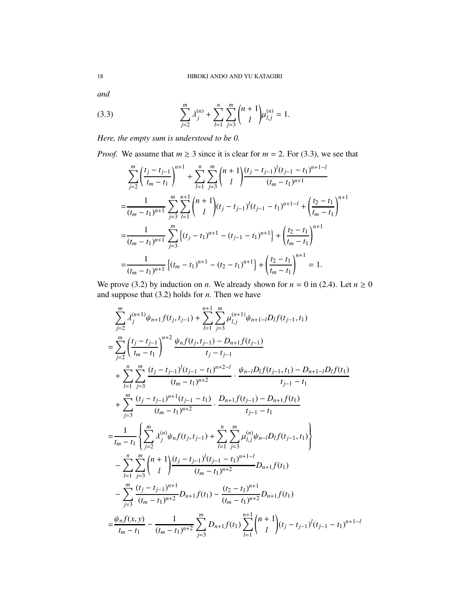*and*

(3.3) 
$$
\sum_{j=2}^{m} \lambda_j^{(n)} + \sum_{l=1}^{n} \sum_{j=3}^{m} {n+1 \choose l} \mu_{l,j}^{(n)} = 1.
$$

*Here, the empty sum is understood to be 0.*

*Proof.* We assume that  $m \geq 3$  since it is clear for  $m = 2$ . For (3.3), we see that

$$
\sum_{j=2}^{m} \left( \frac{t_j - t_{j-1}}{t_m - t_1} \right)^{n+1} + \sum_{l=1}^{n} \sum_{j=3}^{m} \binom{n+1}{l} \frac{(t_j - t_{j-1})^l (t_{j-1} - t_1)^{n+1-l}}{(t_m - t_1)^{n+1}}
$$
\n
$$
= \frac{1}{(t_m - t_1)^{n+1}} \sum_{j=3}^{m} \sum_{l=1}^{n+1} \binom{n+1}{l} (t_j - t_{j-1})^l (t_{j-1} - t_1)^{n+1-l} + \left( \frac{t_2 - t_1}{t_m - t_1} \right)^{n+1}
$$
\n
$$
= \frac{1}{(t_m - t_1)^{n+1}} \sum_{j=3}^{m} \left\{ (t_j - t_1)^{n+1} - (t_{j-1} - t_1)^{n+1} \right\} + \left( \frac{t_2 - t_1}{t_m - t_1} \right)^{n+1}
$$
\n
$$
= \frac{1}{(t_m - t_1)^{n+1}} \left\{ (t_m - t_1)^{n+1} - (t_2 - t_1)^{n+1} \right\} + \left( \frac{t_2 - t_1}{t_m - t_1} \right)^{n+1} = 1.
$$

We prove (3.2) by induction on *n*. We already shown for  $n = 0$  in (2.4). Let  $n \ge 0$ and suppose that (3.2) holds for *n*. Then we have

$$
\sum_{j=2}^{m} \lambda_{j}^{(n+1)} \psi_{n+1} f(t_{j}, t_{j-1}) + \sum_{l=1}^{n+1} \sum_{j=3}^{m} \mu_{l,j}^{(n+1)} \psi_{n+1-l} D_{l} f(t_{j-1}, t_{1})
$$
\n
$$
= \sum_{j=2}^{m} \left( \frac{t_{j} - t_{j-1}}{t_{m} - t_{1}} \right)^{n+2} \frac{\psi_{n} f(t_{j}, t_{j-1}) - D_{n+1} f(t_{j-1})}{t_{j} - t_{j-1}}
$$
\n
$$
+ \sum_{l=1}^{n} \sum_{j=3}^{m} \frac{(t_{j} - t_{j-1})^{l} (t_{j-1} - t_{1})^{n+2-l}}{(t_{m} - t_{1})^{n+2}} \cdot \frac{\psi_{n-l} D_{l} f(t_{j-1}, t_{1}) - D_{n+1-l} D_{l} f(t_{1})}{t_{j-1} - t_{1}}
$$
\n
$$
+ \sum_{j=3}^{m} \frac{(t_{j} - t_{j-1})^{n+1} (t_{j-1} - t_{1})}{(t_{m} - t_{1})^{n+2}} \cdot \frac{D_{n+1} f(t_{j-1}) - D_{n+1} f(t_{1})}{t_{j-1} - t_{1}}
$$
\n
$$
= \frac{1}{t_{m} - t_{1}} \left\{ \sum_{j=2}^{m} \lambda_{j}^{(n)} \psi_{n} f(t_{j}, t_{j-1}) + \sum_{l=1}^{n} \sum_{j=3}^{m} \mu_{l,j}^{(n)} \psi_{n-l} D_{l} f(t_{j-1}, t_{1}) \right\}
$$
\n
$$
- \sum_{l=1}^{n} \sum_{j=3}^{m} {n+1 \choose l} \frac{(t_{j} - t_{j-1})^{l} (t_{j-1} - t_{1})^{n+1-l}}{(t_{m} - t_{1})^{n+2}} D_{n+1} f(t_{1})
$$
\n
$$
= \frac{\psi_{n} f(x, y)}{t_{m} - t_{1}} - \frac{1}{(t_{m} - t_{1})^{n+2}} \sum_{j=3}^{m} D_{n+1} f(t_{1}) \sum_{l=1}^{n+1} {n+1 \choose l} (t_{j} - t
$$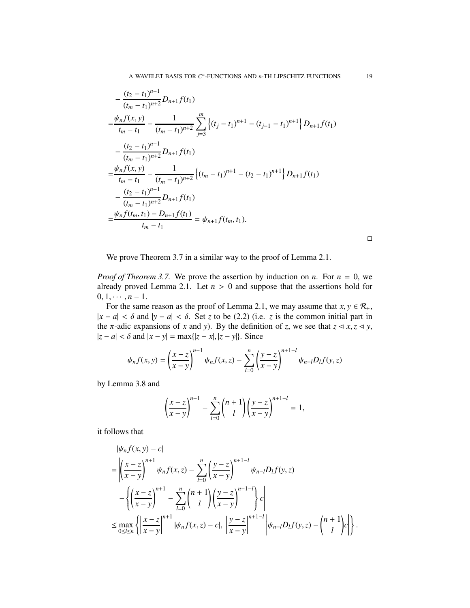$$
-\frac{(t_2 - t_1)^{n+1}}{(t_m - t_1)^{n+2}} D_{n+1} f(t_1)
$$
  
\n
$$
=\frac{\psi_n f(x, y)}{t_m - t_1} - \frac{1}{(t_m - t_1)^{n+2}} \sum_{j=3}^m \left\{ (t_j - t_1)^{n+1} - (t_{j-1} - t_1)^{n+1} \right\} D_{n+1} f(t_1)
$$
  
\n
$$
-\frac{(t_2 - t_1)^{n+1}}{(t_m - t_1)^{n+2}} D_{n+1} f(t_1)
$$
  
\n
$$
=\frac{\psi_n f(x, y)}{t_m - t_1} - \frac{1}{(t_m - t_1)^{n+2}} \left\{ (t_m - t_1)^{n+1} - (t_2 - t_1)^{n+1} \right\} D_{n+1} f(t_1)
$$
  
\n
$$
-\frac{(t_2 - t_1)^{n+1}}{(t_m - t_1)^{n+2}} D_{n+1} f(t_1)
$$
  
\n
$$
=\frac{\psi_n f(t_m, t_1) - D_{n+1} f(t_1)}{t_m - t_1} = \psi_{n+1} f(t_m, t_1).
$$

 $\Box$ 

We prove Theorem 3.7 in a similar way to the proof of Lemma 2.1.

*Proof of Theorem 3.7.* We prove the assertion by induction on *n*. For  $n = 0$ , we already proved Lemma 2.1. Let  $n > 0$  and suppose that the assertions hold for  $0, 1, \cdots, n-1.$ 

For the same reason as the proof of Lemma 2.1, we may assume that  $x, y \in \mathcal{R}_+$ ,  $|x - a| < \delta$  and  $|y - a| < \delta$ . Set *z* to be (2.2) (i.e. *z* is the common initial part in the  $\pi$ -adic expansions of *x* and *y*). By the definition of *z*, we see that  $z \le x, z \le y$ ,  $|z - a|$  < δ and  $|x - y|$  = max{ $|z - x|$ ,  $|z - y|$ }. Since

$$
\psi_n f(x, y) = \left(\frac{x - z}{x - y}\right)^{n+1} \psi_n f(x, z) - \sum_{l=0}^n \left(\frac{y - z}{x - y}\right)^{n+1-l} \psi_{n-l} D_l f(y, z)
$$

by Lemma 3.8 and

$$
\left(\frac{x-z}{x-y}\right)^{n+1} - \sum_{l=0}^{n} {n+1 \choose l} \left(\frac{y-z}{x-y}\right)^{n+1-l} = 1,
$$

it follows that

$$
\begin{split} & |\psi_n f(x, y) - c| \\ & = \left| \left( \frac{x - z}{x - y} \right)^{n+1} \psi_n f(x, z) - \sum_{l=0}^n \left( \frac{y - z}{x - y} \right)^{n+1-l} \psi_{n-l} D_l f(y, z) \right| \\ & - \left\{ \left( \frac{x - z}{x - y} \right)^{n+1} - \sum_{l=0}^n \binom{n+1}{l} \left( \frac{y - z}{x - y} \right)^{n+1-l} \right\} c \right| \\ & \leq \max_{0 \leq l \leq n} \left\{ \left| \frac{x - z}{x - y} \right|^{n+1} |\psi_n f(x, z) - c|, \left| \frac{y - z}{x - y} \right|^{n+1-l} \left| \psi_{n-l} D_l f(y, z) - \binom{n+1}{l} c \right| \right\}. \end{split}
$$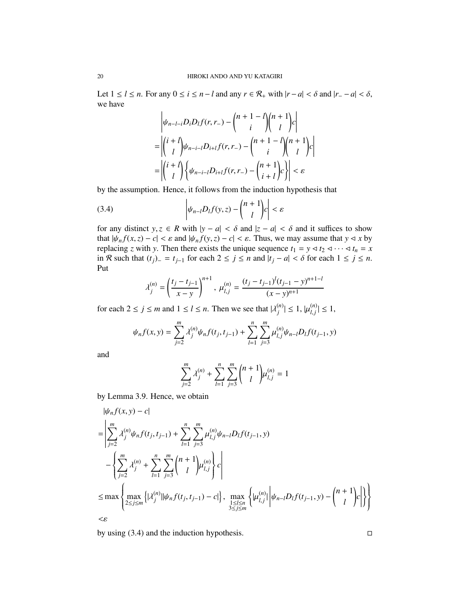Let  $1 \leq l \leq n$ . For any  $0 \leq i \leq n - l$  and any  $r \in \mathcal{R}_+$  with  $|r - a| < \delta$  and  $|r - a| < \delta$ , we have

$$
\left| \psi_{n-l-i} D_i D_l f(r, r_-) - \binom{n+1-l}{i} \binom{n+1}{l} c \right|
$$
  
= 
$$
\left| \binom{i+l}{l} \psi_{n-i-l} D_{i+l} f(r, r_-) - \binom{n+1-l}{i} \binom{n+1}{l} c \right|
$$
  
= 
$$
\left| \binom{i+l}{l} \left\{ \psi_{n-i-l} D_{i+l} f(r, r_-) - \binom{n+1}{i+l} c \right\} \right| < \varepsilon
$$

by the assumption. Hence, it follows from the induction hypothesis that

(3.4) 
$$
\left|\psi_{n-l}D_{l}f(y,z)-\binom{n+1}{l}c\right|<\varepsilon
$$

for any distinct *y*, *z*  $\in$  *R* with  $|y - a| < \delta$  and  $|z - a| < \delta$  and it suffices to show that  $|\psi_n f(x, z) - c| < \varepsilon$  and  $|\psi_n f(y, z) - c| < \varepsilon$ . Thus, we may assume that  $y \le x$  by replacing *z* with *y*. Then there exists the unique sequence  $t_1 = y \triangleleft t_2 \triangleleft \cdots \triangleleft t_n = x$ in R such that (*tj*)<sup>−</sup> = *tj*−<sup>1</sup> for each 2 ≤ *j* ≤ *n* and |*t<sup>j</sup>* − *a*| < δ for each 1 ≤ *j* ≤ *n*. Put

$$
\lambda_j^{(n)}=\left(\frac{t_j-t_{j-1}}{x-y}\right)^{n+1},\ \mu_{l,j}^{(n)}=\frac{(t_j-t_{j-1})^l(t_{j-1}-y)^{n+1-l}}{(x-y)^{n+1}}
$$

for each  $2 \le j \le m$  and  $1 \le l \le n$ . Then we see that  $|\lambda_i^{(n)}|$  $|\mu_{l,j}^{(n)}| \leq 1, |\mu_{l,j}^{(n)}|$  $|l_{i,j}^{(n)}| \leq 1,$ 

$$
\psi_n f(x, y) = \sum_{j=2}^m \lambda_j^{(n)} \psi_n f(t_j, t_{j-1}) + \sum_{l=1}^n \sum_{j=3}^m \mu_{l,j}^{(n)} \psi_{n-l} D_l f(t_{j-1}, y)
$$

and

$$
\sum_{j=2}^{m} \lambda_j^{(n)} + \sum_{l=1}^{n} \sum_{j=3}^{m} {n+1 \choose l} \mu_{l,j}^{(n)} = 1
$$

by Lemma 3.9. Hence, we obtain

$$
|\psi_{n}f(x,y) - c|
$$
\n
$$
= \left| \sum_{j=2}^{m} \lambda_{j}^{(n)} \psi_{n}f(t_{j}, t_{j-1}) + \sum_{l=1}^{n} \sum_{j=3}^{m} \mu_{l,j}^{(n)} \psi_{n-l} D_{l}f(t_{j-1}, y) - \left\{ \sum_{j=2}^{m} \lambda_{j}^{(n)} + \sum_{l=1}^{n} \sum_{j=3}^{m} {n+1 \choose l} \mu_{l,j}^{(n)} \right\} c \right|
$$
\n
$$
\leq \max \left\{ \max_{2 \leq j \leq m} \left\{ |\lambda_{j}^{(n)}| |\psi_{n}f(t_{j}, t_{j-1}) - c| \right\}, \max_{1 \leq l \leq n} \left\{ |\mu_{l,j}^{(n)}| \psi_{n-l} D_{l}f(t_{j-1}, y) - {n+1 \choose l} c| \right\} \right\}
$$
\n
$$
< \varepsilon
$$

by using  $(3.4)$  and the induction hypothesis.  $\Box$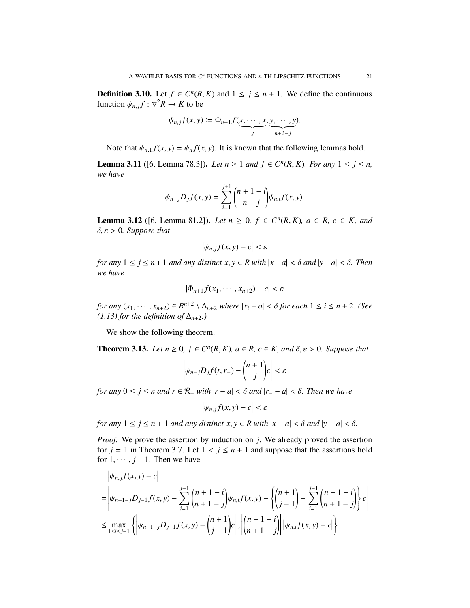**Definition 3.10.** Let  $f \in C^n(R, K)$  and  $1 \le j \le n + 1$ . We define the continuous function  $\psi_{n,j} f : \nabla^2 R \to K$  to be

$$
\psi_{n,j}f(x,y) := \Phi_{n+1}f(\underbrace{x,\cdots,x}_{j},\underbrace{y,\cdots,y}_{n+2-j}).
$$

Note that  $\psi_{n,1} f(x, y) = \psi_n f(x, y)$ . It is known that the following lemmas hold.

**Lemma 3.11** ([6, Lemma 78.3]). *Let*  $n \ge 1$  *and*  $f \in C^n(R, K)$ *. For any*  $1 \le j \le n$ *, we have*

$$
\psi_{n-j}D_jf(x,y) = \sum_{i=1}^{j+1} {n+1-i \choose n-j} \psi_{n,i}f(x,y).
$$

**Lemma 3.12** ([6, Lemma 81.2]). *Let*  $n \ge 0$ ,  $f \in C^n(R, K)$ ,  $a \in R$ ,  $c \in K$ , and δ, ε > 0*. Suppose that*

$$
\left|\psi_{n,j}f(x,y)-c\right|<\varepsilon
$$

*for any*  $1 \le j \le n+1$  *and any distinct*  $x, y \in R$  *with*  $|x-a| < \delta$  *and*  $|y-a| < \delta$ . *Then we have*

$$
|\Phi_{n+1}f(x_1,\cdots,x_{n+2})-c|<\varepsilon
$$

*for any*  $(x_1, \dots, x_{n+2}) \in R^{n+2} \setminus \Delta_{n+2}$  *where*  $|x_i - a| < \delta$  *for each*  $1 \le i \le n+2$ . (See *(1.13) for the definition of*  $\Delta_{n+2}$ *.)* 

We show the following theorem.

 $\mathbf{r}$ 

 $\mathbf{r}$ 

**Theorem 3.13.** *Let*  $n \geq 0$ ,  $f \in C^n(R, K)$ ,  $a \in R$ ,  $c \in K$ , and  $\delta, \varepsilon > 0$ . Suppose that

$$
\left|\psi_{n-j}D_jf(r,r_-)-\binom{n+1}{j}c\right|<\varepsilon
$$

*for any*  $0 \le j \le n$  *and*  $r \in \mathcal{R}_+$  *with*  $|r - a| < \delta$  *and*  $|r - a| < \delta$ *. Then we have* 

 $|\psi_{n,j}f(x,y)-c|<\varepsilon$ 

*for any*  $1 \le j \le n + 1$  *and any distinct*  $x, y \in R$  *with*  $|x - a| < \delta$  *and*  $|y - a| < \delta$ *.* 

*Proof.* We prove the assertion by induction on *j*. We already proved the assertion for  $j = 1$  in Theorem 3.7. Let  $1 < j \le n + 1$  and suppose that the assertions hold for  $1, \dots, j-1$ . Then we have

$$
\begin{aligned}\n&\left|\psi_{n,j}f(x,y)-c\right| \\
&= \left|\psi_{n+1-j}D_{j-1}f(x,y)-\sum_{i=1}^{j-1}\binom{n+1-i}{n+1-j}\psi_{n,i}f(x,y)-\left\{\binom{n+1}{j-1}-\sum_{i=1}^{j-1}\binom{n+1-i}{n+1-j}\right\}c\right| \\
&\leq \max_{1\leq i\leq j-1}\left\{\left|\psi_{n+1-j}D_{j-1}f(x,y)-\binom{n+1}{j-1}c\right|,\left|\binom{n+1-i}{n+1-j}\right|\left|\psi_{n,j}f(x,y)-c\right|\right\}\n\end{aligned}
$$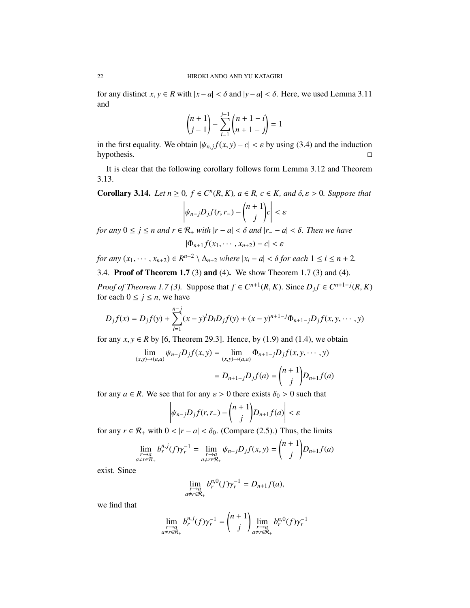for any distinct *x*,  $y \in R$  with  $|x - a| < \delta$  and  $|y - a| < \delta$ . Here, we used Lemma 3.11 and

$$
\binom{n+1}{j-1} - \sum_{i=1}^{j-1} \binom{n+1-i}{n+1-j} = 1
$$

in the first equality. We obtain  $|\psi_{n,j}f(x, y) - c| < \varepsilon$  by using (3.4) and the induction hypothesis.

It is clear that the following corollary follows form Lemma 3.12 and Theorem 3.13.

**Corollary 3.14.** *Let*  $n \geq 0$ ,  $f \in C^n(R, K)$ ,  $a \in R$ ,  $c \in K$ , and  $\delta, \varepsilon > 0$ . Suppose that

$$
\left|\psi_{n-j}D_jf(r,r_-)-\binom{n+1}{j}c\right|<\varepsilon
$$

*for any* 0 ≤ *j* ≤ *n and r* ∈ R<sup>+</sup> *with* |*r* − *a*| < δ *and* |*r*<sup>−</sup> − *a*| < δ*. Then we have*

$$
|\Phi_{n+1}f(x_1,\cdots,x_{n+2})-c|<\varepsilon
$$

*for any*  $(x_1, \dots, x_{n+2}) \in R^{n+2} \setminus \Delta_{n+2}$  *where*  $|x_i - a| < \delta$  *for each*  $1 \le i \le n+2$ *.* 

3.4. Proof of Theorem 1.7 (3) and (4). We show Theorem 1.7 (3) and (4).

*Proof of Theorem 1.7 (3).* Suppose that  $f \in C^{n+1}(R, K)$ . Since  $D_j f \in C^{n+1-j}(R, K)$ for each  $0 \le j \le n$ , we have

$$
D_j f(x) = D_j f(y) + \sum_{l=1}^{n-j} (x - y)^l D_l D_j f(y) + (x - y)^{n+1-j} \Phi_{n+1-j} D_j f(x, y, \dots, y)
$$

for any  $x, y \in R$  by [6, Theorem 29.3]. Hence, by (1.9) and (1.4), we obtain

$$
\lim_{(x,y)\to(a,a)} \psi_{n-j} D_j f(x,y) = \lim_{(x,y)\to(a,a)} \Phi_{n+1-j} D_j f(x,y,\dots,y)
$$

$$
= D_{n+1-j} D_j f(a) = \binom{n+1}{j} D_{n+1} f(a)
$$

for any  $a \in R$ . We see that for any  $\varepsilon > 0$  there exists  $\delta_0 > 0$  such that

$$
\left|\psi_{n-j}D_jf(r,r_-)-\binom{n+1}{j}D_{n+1}f(a)\right|<\varepsilon
$$

for any  $r \in \mathcal{R}_+$  with  $0 < |r - a| < \delta_0$ . (Compare (2.5).) Thus, the limits

$$
\lim_{\substack{r \to a \\ a \neq r \in \mathcal{R}_+}} b_r^{n,j}(f) \gamma_r^{-1} = \lim_{\substack{r \to a \\ a \neq r \in \mathcal{R}_+}} \psi_{n-j} D_j f(x, y) = {n+1 \choose j} D_{n+1} f(a)
$$

exist. Since

$$
\lim_{\substack{r \to a \\ a \neq r \in \mathcal{R}_+}} b_r^{n,0}(f) \gamma_r^{-1} = D_{n+1} f(a),
$$

we find that

$$
\lim_{\substack{r \to a \\ a \neq r \in \mathcal{R}_+}} b_r^{n,j}(f) \gamma_r^{-1} = \binom{n+1}{j} \lim_{\substack{r \to a \\ a \neq r \in \mathcal{R}_+}} b_r^{n,0}(f) \gamma_r^{-1}
$$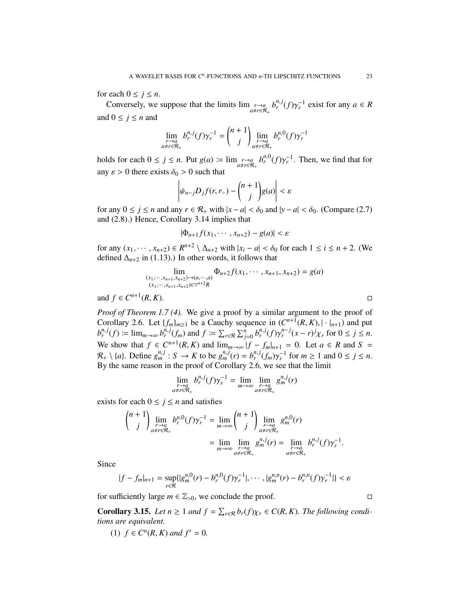for each  $0 \leq j \leq n$ .

Conversely, we suppose that the limits  $\lim_{\substack{r\to a\\ a\neq r\in\mathcal{R}_+}} b_r^{n,j}(f)\gamma_r^{-1}$  exist for any  $a \in R$ and  $0 \leq j \leq n$  and

$$
\lim_{\substack{r \to a \\ a \neq r \in \mathcal{R}_+}} b_r^{n,j}(f) \gamma_r^{-1} = \binom{n+1}{j} \lim_{\substack{r \to a \\ a \neq r \in \mathcal{R}_+}} b_r^{n,0}(f) \gamma_r^{-1}
$$

holds for each  $0 \le j \le n$ . Put  $g(a) := \lim_{\substack{r \to a \\ a \ne r \in \mathcal{R}_+}} b_r^{n,0}(f) \gamma_r^{-1}$ . Then, we find that for any  $\varepsilon > 0$  there exists  $\delta_0 > 0$  such that

$$
\left|\psi_{n-j}D_jf(r,r_-)-\binom{n+1}{j}g(a)\right|<\varepsilon
$$

for any  $0 \le j \le n$  and any  $r \in \mathcal{R}_+$  with  $|x - a| < \delta_0$  and  $|y - a| < \delta_0$ . (Compare (2.7) and (2.8).) Hence, Corollary 3.14 implies that

$$
|\Phi_{n+1}f(x_1,\cdots,x_{n+2})-g(a)|<\varepsilon
$$

for any  $(x_1, \dots, x_{n+2}) \in R^{n+2} \setminus \Delta_{n+2}$  with  $|x_i - a| < \delta_0$  for each  $1 \le i \le n+2$ . (We defined  $\Delta_{n+2}$  in (1.13).) In other words, it follows that

$$
\lim_{\substack{(x_1,\dots,x_{n+1},x_{n+2})\to(a,\dots,a)\\(x_1,\dots,x_{n+1},x_{n+2})\in\heartsuit^{n+2}R}} \Phi_{n+2}f(x_1,\dots,x_{n+1},x_{n+2}) = g(a)
$$

and  $f \in C^{n+1}$  $(R, K)$ .

*Proof of Theorem 1.7 (4).* We give a proof by a similar argument to the proof of Corollary 2.6. Let  $\{f_m\}_{m\geq 1}$  be a Cauchy sequence in  $(C^{n+1}(R, K), |\cdot|_{n+1})$  and put  $b_r^{n,j}(f) := \lim_{m \to \infty} b_r^{n,j}(f_m)$  and  $f := \sum_{r \in \mathcal{R}} \sum_{j=0}^n b_r^{n,j}(f) \gamma_r^{n-j}(x-r)^j \chi_r$  for  $0 \le j \le n$ . We show that  $f \in C^{n+1}(R, K)$  and  $\lim_{m \to \infty} |f - f_m|_{n+1} = 0$ . Let  $a \in R$  and  $S =$  $\mathcal{R}_+ \setminus \{a\}$ . Define  $g_m^{n,j}: S \to K$  to be  $g_m^{n,j}(r) = b_r^{n,j}(f_m) \gamma_r^{-1}$  for  $m \ge 1$  and  $0 \le j \le n$ . By the same reason in the proof of Corollary 2.6, we see that the limit

$$
\lim_{\substack{r \to a \\ a \neq r \in \mathcal{R}_+}} b_r^{n,j}(f) \gamma_r^{-1} = \lim_{m \to \infty} \lim_{\substack{r \to a \\ a \neq r \in \mathcal{R}_+}} g_m^{n,j}(r)
$$

exists for each  $0 \le j \le n$  and satisfies

$$
\binom{n+1}{j}\lim_{\substack{r\to a\\ a\neq r\in\mathcal{R}_+}}b_r^{n,0}(f)\gamma_r^{-1}=\lim_{m\to\infty}\binom{n+1}{j}\lim_{\substack{r\to a\\ a\neq r\in\mathcal{R}_+}}g_m^{n,0}(r)\\=\lim_{\substack{r\to a\\ a\neq r\in\mathcal{R}_+}}\lim_{\substack{r\to a\\ \text{as }r\in\mathcal{R}_+}}b_r^{n,0}(f)\gamma_r^{-1}.
$$

Since

$$
|f - f_m|_{n+1} = \sup_{r \in \mathcal{R}} \{ |g_m^{n,0}(r) - b_r^{n,0}(f)\gamma_r^{-1}|, \cdots, |g_m^{n,n}(r) - b_r^{n,n}(f)\gamma_r^{-1}| \} < \varepsilon
$$

for sufficiently large  $m \in \mathbb{Z}_{>0}$ , we conclude the proof.

**Corollary 3.15.** *Let*  $n \geq 1$  *and*  $f = \sum_{r \in \mathcal{R}} b_r(f) \chi_r \in C(R, K)$ *. The following conditions are equivalent.*

(1) *f* ∈  $C<sup>n</sup>(R, K)$  *and*  $f' = 0$ *.*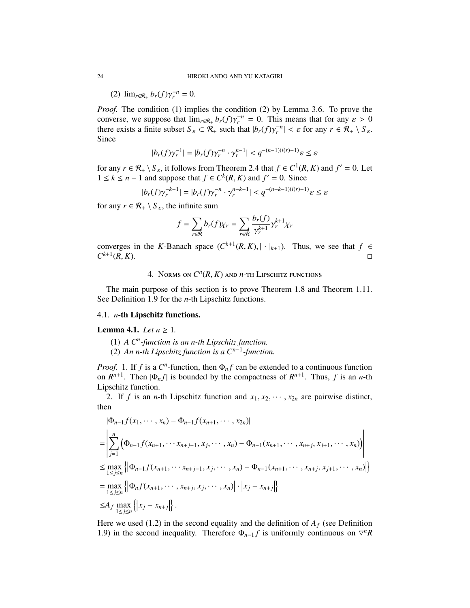(2)  $\lim_{r \in \mathcal{R}_+} b_r(f) \gamma_r^{-n} = 0.$ 

*Proof.* The condition (1) implies the condition (2) by Lemma 3.6. To prove the converse, we suppose that  $\lim_{r \in \mathcal{R}_+} b_r(f) \gamma_r^{-n} = 0$ . This means that for any  $\varepsilon > 0$ there exists a finite subset  $S_{\varepsilon} \subset \mathcal{R}_+$  such that  $|b_r(f)\gamma_r^{-n}| < \varepsilon$  for any  $r \in \mathcal{R}_+ \setminus S_{\varepsilon}$ . Since

$$
|b_r(f)\gamma_r^{-1}| = |b_r(f)\gamma_r^{-n} \cdot \gamma_r^{n-1}| < q^{-(n-1)(l(r)-1)}\varepsilon \leq \varepsilon
$$

for any  $r \in \mathcal{R}_+ \setminus S_{\varepsilon}$ , it follows from Theorem 2.4 that  $f \in C^1(R, K)$  and  $f' = 0$ . Let 1 ≤  $k$  ≤ *n* − 1 and suppose that  $f \in C^k(R, K)$  and  $f' = 0$ . Since

$$
|b_r(f)\gamma_r^{-k-1}| = |b_r(f)\gamma_r^{-n} \cdot \gamma_r^{n-k-1}| < q^{-(n-k-1)(l(r)-1)}\varepsilon \le \varepsilon
$$

for any  $r \in \mathcal{R}_+ \setminus S_\varepsilon$ , the infinite sum

$$
f = \sum_{r \in \mathcal{R}} b_r(f) \chi_r = \sum_{r \in \mathcal{R}} \frac{b_r(f)}{\gamma_r^{k+1}} \gamma_r^{k+1} \chi_r
$$

converges in the *K*-Banach space  $(C^{k+1}(R, K), |\cdot|_{k+1})$ . Thus, we see that  $f \in$  $C^{k+1}$  $(R, K)$ .

# 4. Norms on  $C^n(R, K)$  and  $n$ -th Lipschitz functions

The main purpose of this section is to prove Theorem 1.8 and Theorem 1.11. See Definition 1.9 for the *n*-th Lipschitz functions.

#### 4.1. *n*-th Lipschitz functions.

#### **Lemma 4.1.** *Let*  $n \geq 1$ *.*

- (1) *A C<sup>n</sup> -function is an n-th Lipschitz function.*
- (2) *An n-th Lipschitz function is a Cn*−<sup>1</sup> *-function.*

*Proof.* 1. If *f* is a  $C<sup>n</sup>$ -function, then  $\Phi_n f$  can be extended to a continuous function on  $R^{n+1}$ . Then  $|\Phi_n f|$  is bounded by the compactness of  $R^{n+1}$ . Thus, f is an *n*-th Lipschitz function.

2. If *f* is an *n*-th Lipschitz function and  $x_1, x_2, \dots, x_{2n}$  are pairwise distinct, then

$$
\begin{split}\n&|\Phi_{n-1}f(x_1,\dots,x_n) - \Phi_{n-1}f(x_{n+1},\dots,x_{2n})| \\
&= \left| \sum_{j=1}^n \left( \Phi_{n-1}f(x_{n+1},\dots,x_{n+j-1},x_j,\dots,x_n) - \Phi_{n-1}(x_{n+1},\dots,x_{n+j},x_{j+1},\dots,x_n) \right) \right| \\
&\leq \max_{1 \leq j \leq n} \left\{ \left| \Phi_{n-1}f(x_{n+1},\dots,x_{n+j-1},x_j,\dots,x_n) - \Phi_{n-1}(x_{n+1},\dots,x_{n+j},x_{j+1},\dots,x_n) \right| \right\} \\
&= \max_{1 \leq j \leq n} \left\{ \left| \Phi_n f(x_{n+1},\dots,x_{n+j},x_j,\dots,x_n) \right| \cdot \left| x_j - x_{n+j} \right| \right\} \\
&\leq A_f \max_{1 \leq j \leq n} \left\{ \left| x_j - x_{n+j} \right| \right\}.\n\end{split}
$$

Here we used (1.2) in the second equality and the definition of  $A_f$  (see Definition 1.9) in the second inequality. Therefore  $\Phi_{n-1}f$  is uniformly continuous on  $\nabla^n R$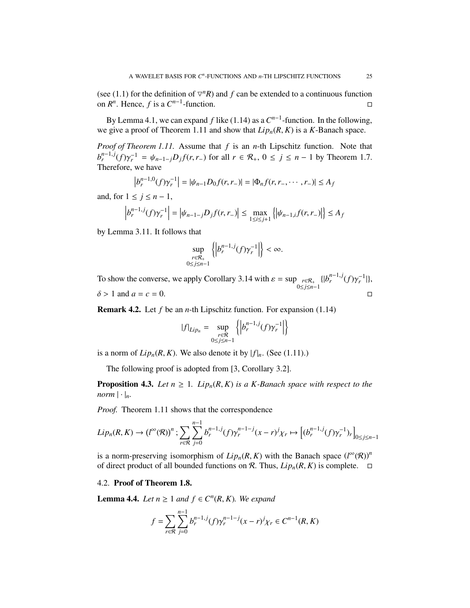(see (1.1) for the definition of  $\nabla^n R$ ) and *f* can be extended to a continuous function on  $R^n$ . Hence, *f* is a  $C^{n-1}$ -function. □

By Lemma 4.1, we can expand *f* like (1.14) as a  $C^{n-1}$ -function. In the following, we give a proof of Theorem 1.11 and show that *Lipn*(*R*, *K*) is a *K*-Banach space.

*Proof of Theorem 1.11.* Assume that *f* is an *n*-th Lipschitz function. Note that  $b_r^{n-1,j}(f) \gamma_r^{-1} = \psi_{n-1-j} D_j f(r, r-)$  for all  $r \in \mathcal{R}_+$ ,  $0 \le j \le n-1$  by Theorem 1.7. Therefore, we have

$$
\left|b_r^{n-1,0}(f)\gamma_r^{-1}\right| = |\psi_{n-1}D_0f(r,r_-)| = |\Phi_nf(r,r_-,\cdots,r_-)| \le A_f
$$

and, for  $1 \leq j \leq n-1$ ,

$$
\left| b_r^{n-1,j}(f) \gamma_r^{-1} \right| = \left| \psi_{n-1-j} D_j f(r,r_-) \right| \le \max_{1 \le i \le j+1} \left\{ \left| \psi_{n-1,i} f(r,r_-) \right| \right\} \le A_f
$$

by Lemma 3.11. It follows that

$$
\sup_{\substack{r \in \mathcal{R}_+ \\ 0 \le j \le n-1}} \left\{ \left| b_r^{n-1,j}(f) \gamma_r^{-1} \right| \right\} < \infty.
$$

To show the converse, we apply Corollary 3.14 with  $\varepsilon = \sup_{0 \le j \le n-1}$  $\{|b_r^{n-1,j}(f)\gamma_r^{-1}|\},$  $\delta > 1$  and  $a = c = 0$ .

Remark 4.2. Let *f* be an *n*-th Lipschitz function. For expansion (1.14)

$$
|f|_{Lip_n} = \sup_{\substack{r \in \mathcal{R} \\ 0 \le j \le n-1}} \left\{ \left| b_r^{n-1,j}(f) \gamma_r^{-1} \right| \right\}
$$

is a norm of  $Lip_n(R, K)$ . We also denote it by  $|f|_n$ . (See (1.11).)

The following proof is adopted from [3, Corollary 3.2].

**Proposition 4.3.** *Let*  $n \geq 1$ *. Lip<sub>n</sub>*( $R$ *,*  $K$ *) is a K-Banach space with respect to the norm*  $|\cdot|_n$ .

*Proof.* Theorem 1.11 shows that the correspondence

$$
Lip_n(R, K) \to (l^{\infty}(R))^n
$$
;  $\sum_{r \in R} \sum_{j=0}^{n-1} b_r^{n-1,j}(f) \gamma_r^{n-1-j}(x-r)^j \chi_r \mapsto [(b_r^{n-1,j}(f) \gamma_r^{-1})_r]_{0 \le j \le n-1}$ 

is a norm-preserving isomorphism of  $Lip_n(R, K)$  with the Banach space  $(l^{\infty}(R))$ <sup>n</sup> of direct product of all bounded functions on  $\mathcal{R}$ . Thus,  $Lip_n(R, K)$  is complete.  $\Box$ 

## 4.2. Proof of Theorem 1.8.

**Lemma 4.4.** *Let*  $n \ge 1$  *and*  $f \in C^n(R, K)$ *. We expand* 

$$
f = \sum_{r \in \mathcal{R}} \sum_{j=0}^{n-1} b_r^{n-1,j} (f) \gamma_r^{n-1-j} (x - r)^j \chi_r \in C^{n-1}(R, K)
$$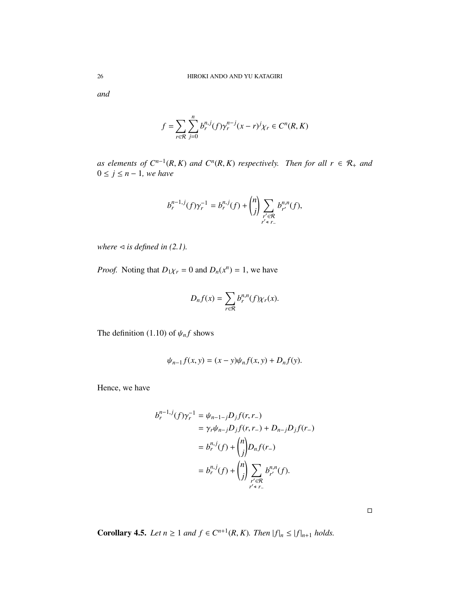*and*

$$
f = \sum_{r \in \mathcal{R}} \sum_{j=0}^{n} b_r^{n,j}(f) \gamma_r^{n-j}(x - r)^j \chi_r \in C^n(R, K)
$$

*as elements of*  $C^{n-1}(R,K)$  *and*  $C^n(R,K)$  *respectively.* Then for all  $r ∈ R_+$  *and*  $0 \leq j \leq n-1$ , we have

$$
b_r^{n-1,j}(f)\gamma_r^{-1} = b_r^{n,j}(f) + {n \choose j} \sum_{\substack{r' \in \mathcal{R} \\ r' \le r_-}} b_{r'}^{n,n}(f),
$$

*where*  $\triangleleft$  *is defined in (2.1).* 

*Proof.* Noting that  $D_1\chi_r = 0$  and  $D_n(x^n) = 1$ , we have

$$
D_n f(x) = \sum_{r \in \mathcal{R}} b_r^{n,n}(f) \chi_r(x).
$$

The definition (1.10) of  $\psi_n f$  shows

$$
\psi_{n-1}f(x, y) = (x - y)\psi_n f(x, y) + D_n f(y).
$$

Hence, we have

$$
b_r^{n-1,j}(f)\gamma_r^{-1} = \psi_{n-1-j}D_jf(r,r_-)
$$
  
=  $\gamma_r\psi_{n-j}D_jf(r,r_-) + D_{n-j}D_jf(r_-)$   
=  $b_r^{n,j}(f) + {n \choose j}D_nf(r_-)$   
=  $b_r^{n,j}(f) + {n \choose j} \sum_{\substack{r' \in \mathcal{R} \\ r' \neq r_-}} b_{r'}^{n,n}(f).$ 

**Corollary 4.5.** *Let*  $n \geq 1$  *and*  $f \in C^{n+1}(R, K)$ *. Then*  $|f|_n \leq |f|_{n+1}$  *holds.* 

 $\Box$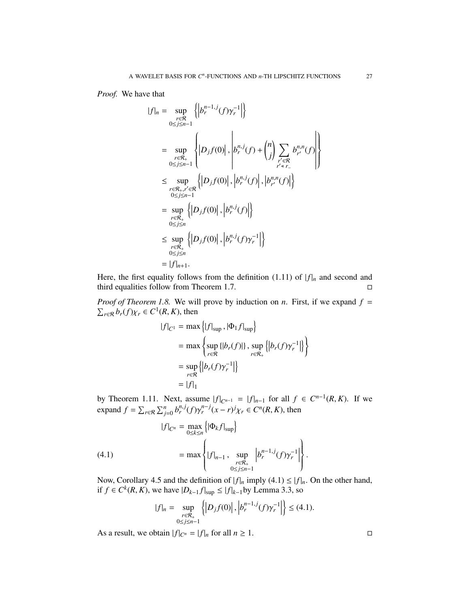*Proof.* We have that

$$
||f||_n = \sup_{\substack{r \in \mathcal{R} \\ 0 \le j \le n-1}} \left\{ |b_r^{n-1,j}(f)\gamma_r^{-1}| \right\}
$$
  
\n
$$
= \sup_{\substack{r \in \mathcal{R}_+ \\ 0 \le j \le n-1}} \left\{ |D_j f(0)|, |b_r^{n,j}(f) + {n \choose j} \sum_{\substack{r' \in \mathcal{R} \\ r' \le r_-}} b_{r'}^{n,n}(f) \right\}
$$
  
\n
$$
\le \sup_{\substack{r \in \mathcal{R}_+, r' \in \mathcal{R} \\ 0 \le j \le n-1}} \left\{ |D_j f(0)|, |b_r^{n,j}(f)|, |b_{r'}^{n,n}(f)| \right\}
$$
  
\n
$$
= \sup_{\substack{r \in \mathcal{R}_+ \\ 0 \le j \le n}} \left\{ |D_j f(0)|, |b_r^{n,j}(f)| \right\}
$$
  
\n
$$
\le \sup_{\substack{r \in \mathcal{R}_+ \\ 0 \le j \le n}} \left\{ |D_j f(0)|, |b_r^{n,j}(f)\gamma_r^{-1}| \right\}
$$
  
\n
$$
= |f|_{n+1}.
$$

Here, the first equality follows from the definition (1.11) of  $|f|_n$  and second and third equalities follow from Theorem 1.7.

*Proof of Theorem 1.8.* We will prove by induction on *n*. First, if we expand  $f =$  $\sum_{r \in \mathcal{R}} b_r(f) \chi_r \in C^1(R, K)$ , then

$$
|f|_{C^1} = \max\left\{|f|_{\sup}, |\Phi_1 f|_{\sup}\right\}
$$
  
= 
$$
\max\left\{\sup_{r \in \mathcal{R}}\{|b_r(f)|\}, \sup_{r \in \mathcal{R}_+}\{|b_r(f)\gamma_r^{-1}|\}\right\}
$$
  
= 
$$
\sup_{r \in \mathcal{R}}\{|b_r(f)\gamma_r^{-1}|\}
$$
  
= 
$$
|f|_1
$$

by Theorem 1.11. Next, assume  $|f|_{C^{n-1}} = |f|_{n-1}$  for all *f* ∈  $C^{n-1}(R, K)$ . If we expand  $f = \sum_{r \in \mathcal{R}} \sum_{j=0}^n b_r^{n,j} (f) \gamma_r^{n-j} (x - r)^j \chi_r \in C^n(R, K)$ , then

(4.1) 
$$
|f|_{C^{n}} = \max_{0 \le k \le n} \{ |\Phi_{k} f|_{\sup} \} \\ = \max \left\{ |f|_{n-1}, \sup_{\substack{r \in \mathcal{R}_{+} \\ 0 \le j \le n-1}} \left| b_{r}^{n-1,j}(f) \gamma_{r}^{-1} \right| \right\}.
$$

Now, Corollary 4.5 and the definition of  $|f|_n$  imply (4.1)  $\leq |f|_n$ . On the other hand, if *f* ∈  $C^k(R, K)$ , we have  $|D_{k-1}f|_{\text{sup}} \le |f|_{k-1}$  by Lemma 3.3, so

$$
|f|_{n} = \sup_{\substack{r \in \mathcal{R}_{+} \\ 0 \le j \le n-1}} \left\{ \left| D_{j} f(0) \right|, \left| b_{r}^{n-1,j}(f) \gamma_{r}^{-1} \right| \right\} \le (4.1).
$$

As a result, we obtain  $|f|_{C^n} = |f|_n$  for all  $n \ge 1$ .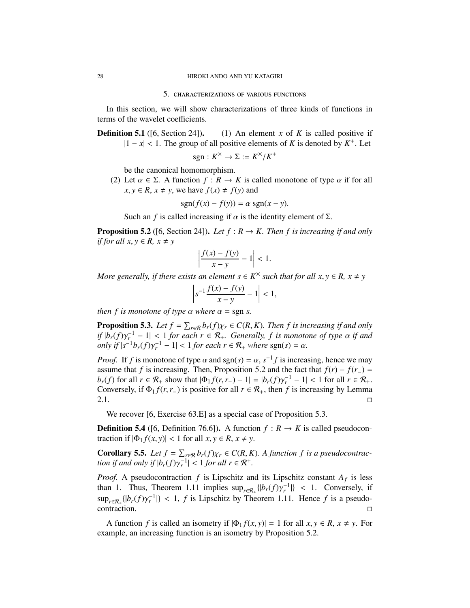#### 5. characterizations of various functions

In this section, we will show characterizations of three kinds of functions in terms of the wavelet coefficients.

**Definition 5.1** ([6, Section 24]). (1) An element *x* of *K* is called positive if  $|1 - x| < 1$ . The group of all positive elements of *K* is denoted by  $K^+$ . Let

$$
sgn: K^{\times} \to \Sigma := K^{\times}/K^{+}
$$

be the canonical homomorphism.

(2) Let  $\alpha \in \Sigma$ . A function  $f: R \to K$  is called monotone of type  $\alpha$  if for all  $x, y \in R$ ,  $x \neq y$ , we have  $f(x) \neq f(y)$  and

$$
sgn(f(x) - f(y)) = \alpha sgn(x - y).
$$

Such an *f* is called increasing if  $\alpha$  is the identity element of  $\Sigma$ .

**Proposition 5.2** ([6, Section 24]). Let  $f : R \to K$ . Then f is increasing if and only *if for all*  $x, y \in R$ ,  $x \neq y$ 

$$
\left|\frac{f(x)-f(y)}{x-y}-1\right|<1.
$$

*More generally, if there exists an element*  $s \in K^{\times}$  *such that for all*  $x, y \in R$ *,*  $x \neq y$ 

$$
\left| s^{-1} \frac{f(x) - f(y)}{x - y} - 1 \right| < 1,
$$

*then f is monotone of type*  $\alpha$  *where*  $\alpha$  = sgn *s*.

**Proposition 5.3.** Let  $f = \sum_{r \in \mathcal{R}} b_r(f) \chi_r \in C(R, K)$ . Then f is increasing if and only *if*  $|b_r(f)\gamma_r^{-1} - 1| < 1$  *for each r* ∈  $\mathcal{R}_+$ *. Generally, f is monotone of type*  $\alpha$  *if and only if*  $|s^{-1}b_r(f)\gamma_r^{-1} - 1| < 1$  *for each*  $r \in \mathcal{R}_+$  *where* sgn(*s*) =  $\alpha$ *.* 

*Proof.* If *f* is monotone of type  $\alpha$  and sgn(*s*) =  $\alpha$ ,  $s^{-1}f$  is increasing, hence we may assume that *f* is increasing. Then, Proposition 5.2 and the fact that  $f(r) - f(r_+) =$ *b*<sup>*r*</sup>(*f*) for all *r* ∈  $\mathcal{R}_+$  show that  $|\Phi_1 f(r, r_-) - 1| = |b_r(f) \gamma_r^{-1} - 1| < 1$  for all *r* ∈  $\mathcal{R}_+$ . Conversely, if  $\Phi_1 f(r, r_-)$  is positive for all  $r \in \mathcal{R}_+$ , then f is increasing by Lemma  $2.1.$ 

We recover [6, Exercise 63.E] as a special case of Proposition 5.3.

**Definition 5.4** ([6, Definition 76.6]). A function  $f: R \to K$  is called pseudocontraction if  $|\Phi_1 f(x, y)| < 1$  for all  $x, y \in R$ ,  $x \neq y$ .

**Corollary 5.5.** Let  $f = \sum_{r \in \mathcal{R}} b_r(f) \chi_r \in C(R, K)$ . A function f is a pseudocontrac*tion if and only if*  $|b_r(f)\gamma_r^{-1}| < 1$  *for all r*  $\in \mathcal{R}^+$ *.* 

*Proof.* A pseudocontraction  $f$  is Lipschitz and its Lipschitz constant  $A_f$  is less than 1. Thus, Theorem 1.11 implies  $\sup_{r \in \mathcal{R}_+} \{ |b_r(f) \gamma_r^{-1}| \}$  < 1. Conversely, if  $\sup_{r \in \mathcal{R}_+} \{|b_r(f)\gamma_r^{-1}|\} < 1$ , *f* is Lipschitz by Theorem 1.11. Hence *f* is a pseudo- $\Box$ contraction.  $\Box$ 

A function *f* is called an isometry if  $|\Phi_1 f(x, y)| = 1$  for all  $x, y \in R$ ,  $x \neq y$ . For example, an increasing function is an isometry by Proposition 5.2.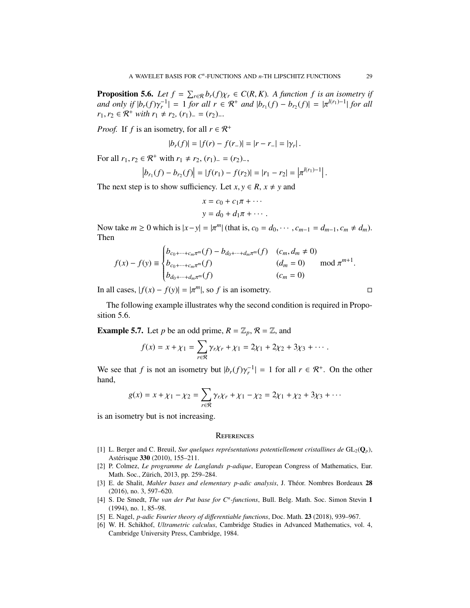**Proposition 5.6.** *Let*  $f = \sum_{r \in \mathcal{R}} b_r(f) \chi_r \in C(R, K)$ . A function f is an isometry if *and only if*  $|b_r(f)\gamma_r^{-1}| = 1$  *for all r*  $\in \mathbb{R}^+$  *and*  $|b_{r_1}(f) - b_{r_2}(f)| = |\pi^{l(r_1)-1}|$  *for all r*<sub>1</sub>, *r*<sub>2</sub> ∈  $\mathcal{R}^+$  *with r*<sub>1</sub> ≠ *r*<sub>2</sub>, (*r*<sub>1</sub>)<sub>−</sub> = (*r*<sub>2</sub>)<sub>−</sub>.

*Proof.* If *f* is an isometry, for all  $r \in \mathbb{R}^+$ 

$$
|b_r(f)| = |f(r) - f(r_-)| = |r - r_-| = |\gamma_r|.
$$

For all  $r_1, r_2 \in \mathbb{R}^+$  with  $r_1 \neq r_2$ ,  $(r_1)$ <sub>−</sub> =  $(r_2)$ <sub>−</sub>,

$$
\left|b_{r_1}(f)-b_{r_2}(f)\right| = |f(r_1)-f(r_2)| = |r_1-r_2| = \left|\pi^{l(r_1)-1}\right|.
$$

The next step is to show sufficiency. Let  $x, y \in R$ ,  $x \neq y$  and

$$
x = c_0 + c_1 \pi + \cdots
$$
  

$$
y = d_0 + d_1 \pi + \cdots
$$

Now take  $m \ge 0$  which is  $|x-y| = |\pi^m|$  (that is,  $c_0 = d_0, \dots, c_{m-1} = d_{m-1}, c_m \ne d_m$ ). Then

$$
f(x) - f(y) \equiv \begin{cases} b_{c_0 + \dots + c_m \pi^m}(f) - b_{d_0 + \dots + d_m \pi^m}(f) & (c_m, d_m \neq 0) \\ b_{c_0 + \dots + c_m \pi^m}(f) & (d_m = 0) \\ b_{d_0 + \dots + d_m \pi^m}(f) & (c_m = 0) \end{cases} \mod \pi^{m+1}
$$

In all cases,  $|f(x) - f(y)| = |\pi^m|$ , so *f* is an isometry. □

The following example illustrates why the second condition is required in Proposition 5.6.

**Example 5.7.** Let *p* be an odd prime,  $R = \mathbb{Z}_p$ ,  $\mathcal{R} = \mathbb{Z}$ , and

$$
f(x) = x + \chi_1 = \sum_{r \in \mathcal{R}} \gamma_r \chi_r + \chi_1 = 2\chi_1 + 2\chi_2 + 3\chi_3 + \cdots
$$

We see that *f* is not an isometry but  $|b_r(f)\gamma_r^{-1}| = 1$  for all  $r \in \mathbb{R}^+$ . On the other hand,

$$
g(x) = x + \chi_1 - \chi_2 = \sum_{r \in \mathcal{R}} \gamma_r \chi_r + \chi_1 - \chi_2 = 2\chi_1 + \chi_2 + 3\chi_3 + \cdots
$$

is an isometry but is not increasing.

#### **REFERENCES**

- [1] L. Berger and C. Breuil, *Sur quelques représentations potentiellement cristallines de*  $GL_2(Q_p)$ , Astérisque 330 (2010), 155–211.
- [2] P. Colmez, *Le programme de Langlands p-adique*, European Congress of Mathematics, Eur. Math. Soc., Zürich, 2013, pp. 259–284.
- [3] E. de Shalit, *Mahler bases and elementary p-adic analysis*, J. Théor. Nombres Bordeaux 28 (2016), no. 3, 597–620.
- [4] S. De Smedt, *The van der Put base for C<sup>n</sup> -functions*, Bull. Belg. Math. Soc. Simon Stevin 1 (1994), no. 1, 85–98.
- [5] E. Nagel, *p-adic Fourier theory of di*ff*erentiable functions*, Doc. Math. 23 (2018), 939–967.
- [6] W. H. Schikhof, *Ultrametric calculus*, Cambridge Studies in Advanced Mathematics, vol. 4, Cambridge University Press, Cambridge, 1984.

.